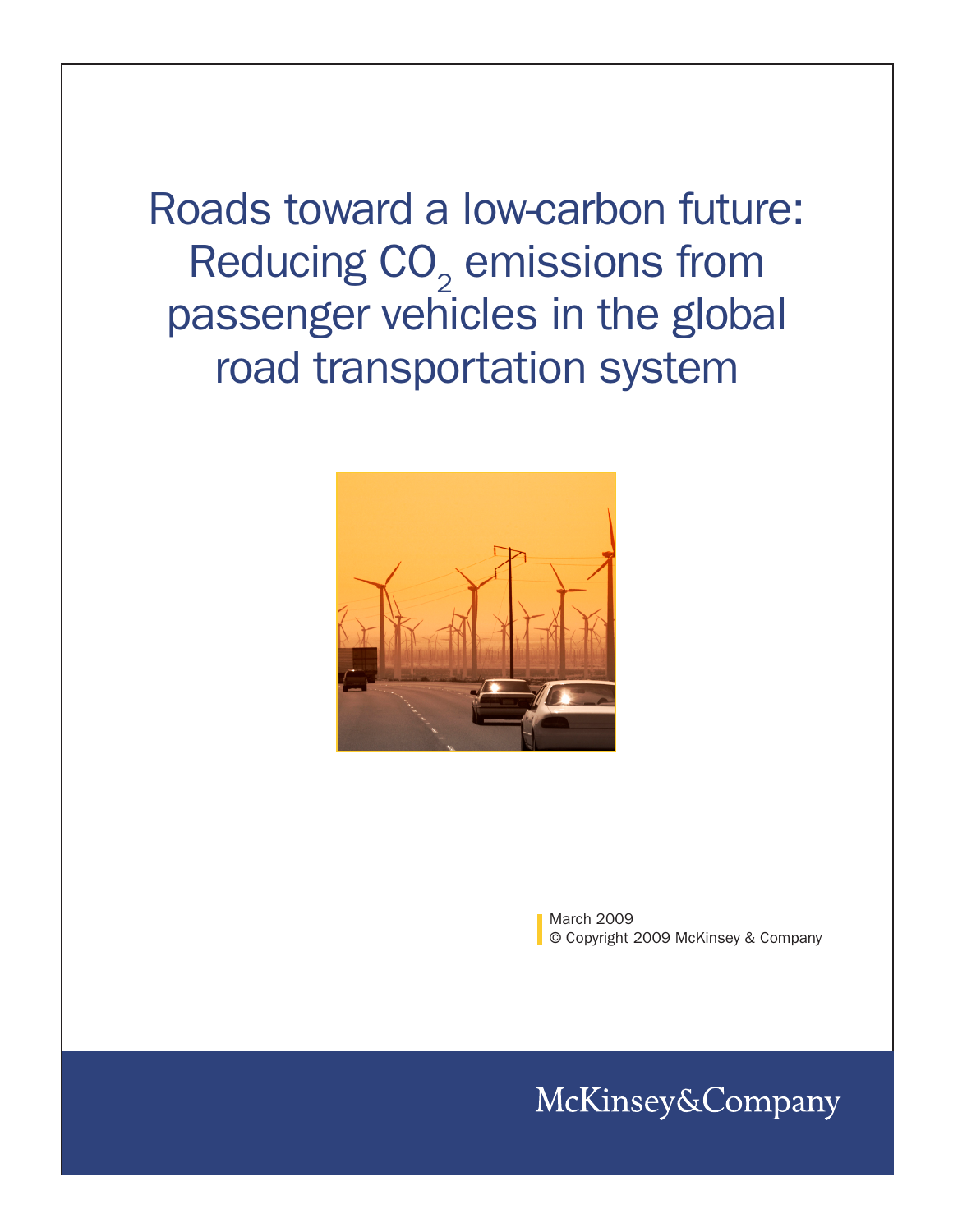Roads toward a low-carbon future: Reducing  $CO<sub>2</sub>$  emissions from passenger vehicles in the global road transportation system



March 2009 © Copyright 2009 McKinsey & Company

McKinsey&Company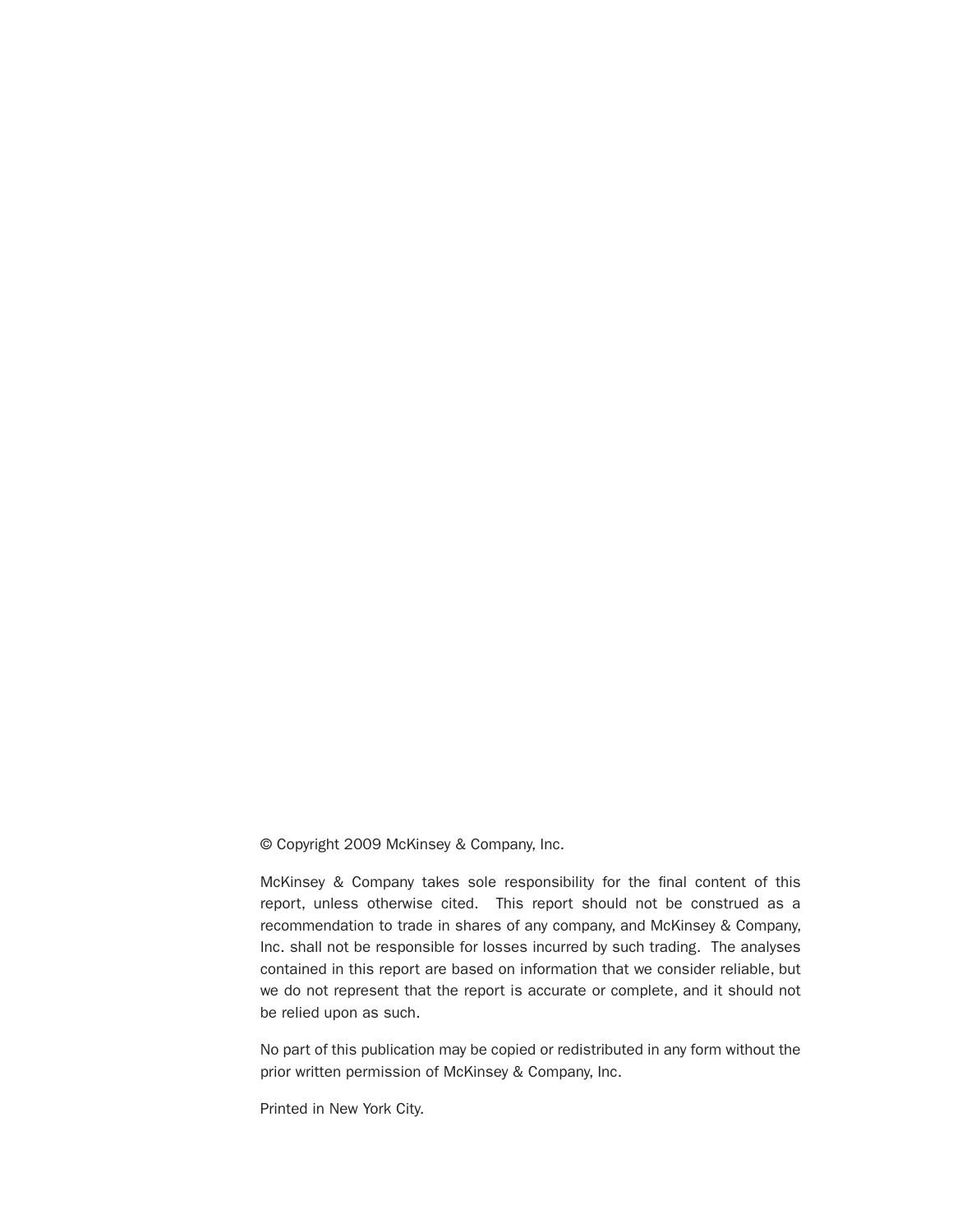© Copyright 2009 McKinsey & Company, Inc.

McKinsey & Company takes sole responsibility for the final content of this report, unless otherwise cited. This report should not be construed as a recommendation to trade in shares of any company, and McKinsey & Company, Inc. shall not be responsible for losses incurred by such trading. The analyses contained in this report are based on information that we consider reliable, but we do not represent that the report is accurate or complete, and it should not be relied upon as such.

No part of this publication may be copied or redistributed in any form without the prior written permission of McKinsey & Company, Inc.

Printed in New York City.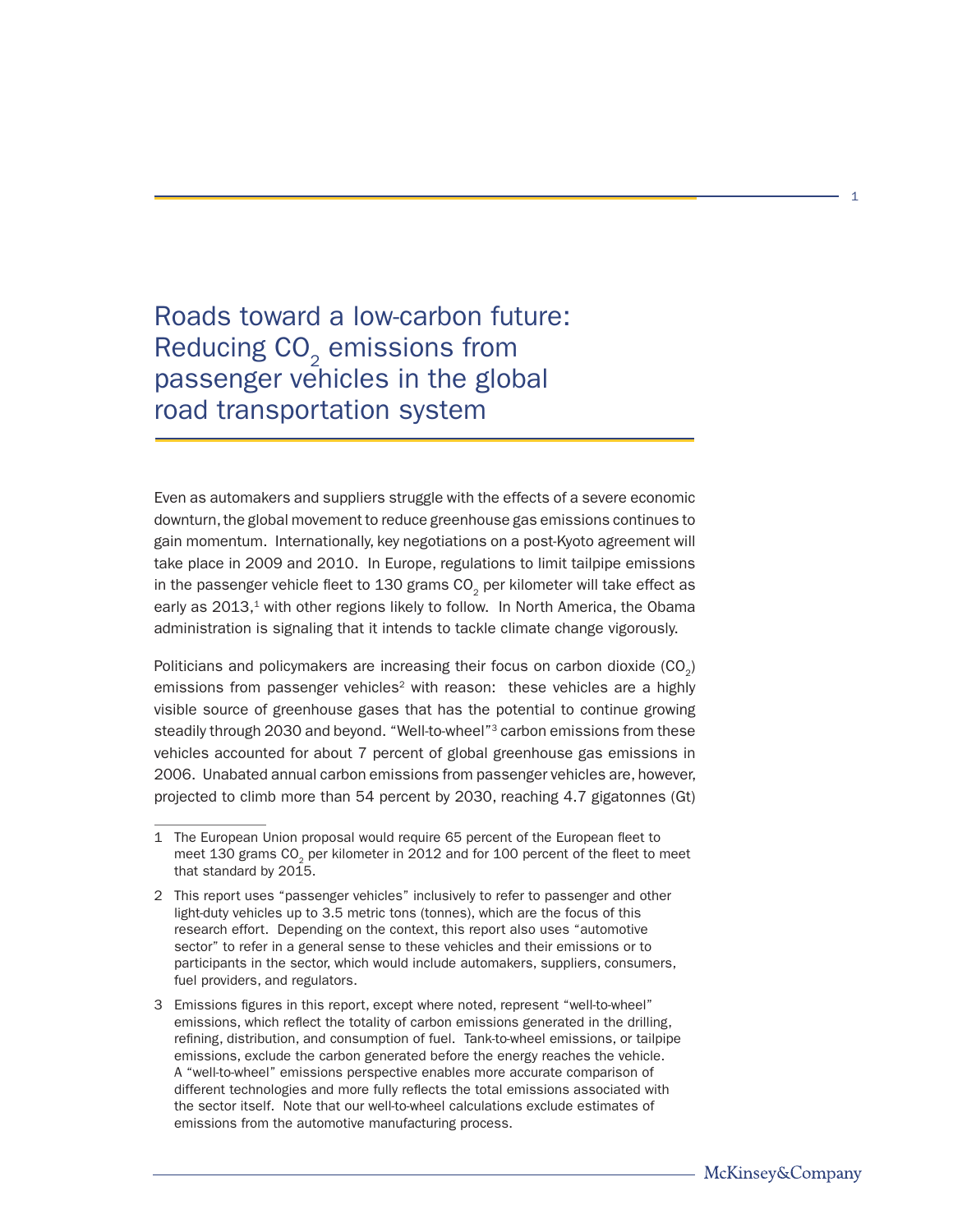Roads toward a low-carbon future: Reducing CO<sub>2</sub> emissions from passenger vehicles in the global road transportation system

Even as automakers and suppliers struggle with the effects of a severe economic downturn, the global movement to reduce greenhouse gas emissions continues to gain momentum. Internationally, key negotiations on a post-Kyoto agreement will take place in 2009 and 2010. In Europe, regulations to limit tailpipe emissions in the passenger vehicle fleet to 130 grams CO<sub>2</sub> per kilometer will take effect as early as 2013,<sup>1</sup> with other regions likely to follow. In North America, the Obama administration is signaling that it intends to tackle climate change vigorously.

Politicians and policymakers are increasing their focus on carbon dioxide  $(CO<sub>2</sub>)$ emissions from passenger vehicles<sup>2</sup> with reason: these vehicles are a highly visible source of greenhouse gases that has the potential to continue growing steadily through 2030 and beyond. "Well-to-wheel"<sup>3</sup> carbon emissions from these vehicles accounted for about 7 percent of global greenhouse gas emissions in 2006. Unabated annual carbon emissions from passenger vehicles are, however, projected to climb more than 54 percent by 2030, reaching 4.7 gigatonnes (Gt)

<sup>1</sup> The European Union proposal would require 65 percent of the European fleet to meet 130 grams CO<sub>2</sub> per kilometer in 2012 and for 100 percent of the fleet to meet that standard by 2015.

<sup>2</sup> This report uses "passenger vehicles" inclusively to refer to passenger and other light-duty vehicles up to 3.5 metric tons (tonnes), which are the focus of this research effort. Depending on the context, this report also uses "automotive sector" to refer in a general sense to these vehicles and their emissions or to participants in the sector, which would include automakers, suppliers, consumers, fuel providers, and regulators.

<sup>3</sup> Emissions figures in this report, except where noted, represent "well-to-wheel" emissions, which reflect the totality of carbon emissions generated in the drilling, refining, distribution, and consumption of fuel. Tank-to-wheel emissions, or tailpipe emissions, exclude the carbon generated before the energy reaches the vehicle. A "well-to-wheel" emissions perspective enables more accurate comparison of different technologies and more fully reflects the total emissions associated with the sector itself. Note that our well-to-wheel calculations exclude estimates of emissions from the automotive manufacturing process.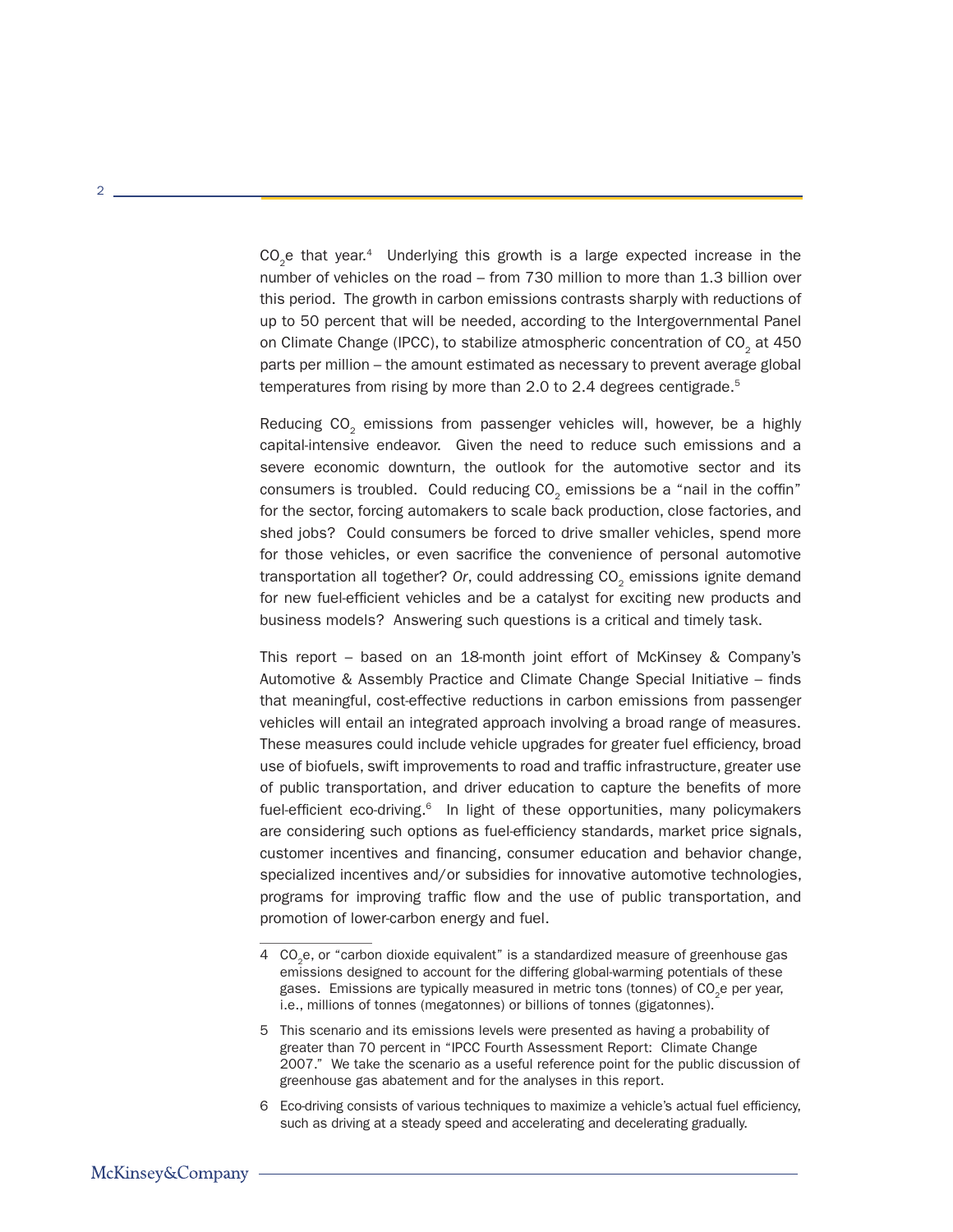CO<sub>2</sub>e that year.<sup>4</sup> Underlying this growth is a large expected increase in the number of vehicles on the road – from 730 million to more than 1.3 billion over this period. The growth in carbon emissions contrasts sharply with reductions of up to 50 percent that will be needed, according to the Intergovernmental Panel on Climate Change (IPCC), to stabilize atmospheric concentration of CO<sub>2</sub> at 450 parts per million – the amount estimated as necessary to prevent average global temperatures from rising by more than 2.0 to 2.4 degrees centigrade.<sup>5</sup>

Reducing CO<sub>2</sub> emissions from passenger vehicles will, however, be a highly capital-intensive endeavor. Given the need to reduce such emissions and a severe economic downturn, the outlook for the automotive sector and its consumers is troubled. Could reducing  $CO<sub>2</sub>$  emissions be a "nail in the coffin" for the sector, forcing automakers to scale back production, close factories, and shed jobs? Could consumers be forced to drive smaller vehicles, spend more for those vehicles, or even sacrifice the convenience of personal automotive transportation all together? Or, could addressing CO<sub>2</sub> emissions ignite demand for new fuel-efficient vehicles and be a catalyst for exciting new products and business models? Answering such questions is a critical and timely task.

This report – based on an 18-month joint effort of McKinsey & Company's Automotive & Assembly Practice and Climate Change Special Initiative – finds that meaningful, cost-effective reductions in carbon emissions from passenger vehicles will entail an integrated approach involving a broad range of measures. These measures could include vehicle upgrades for greater fuel efficiency, broad use of biofuels, swift improvements to road and traffic infrastructure, greater use of public transportation, and driver education to capture the benefits of more fuel-efficient eco-driving. $6$  In light of these opportunities, many policymakers are considering such options as fuel-efficiency standards, market price signals, customer incentives and financing, consumer education and behavior change, specialized incentives and/or subsidies for innovative automotive technologies, programs for improving traffic flow and the use of public transportation, and promotion of lower-carbon energy and fuel.

6 Eco-driving consists of various techniques to maximize a vehicle's actual fuel efficiency, such as driving at a steady speed and accelerating and decelerating gradually.

 $\mathcal{D}$ 

<sup>4</sup> CO<sub>2</sub>e, or "carbon dioxide equivalent" is a standardized measure of greenhouse gas emissions designed to account for the differing global-warming potentials of these gases. Emissions are typically measured in metric tons (tonnes) of CO<sub>2</sub>e per year, i.e., millions of tonnes (megatonnes) or billions of tonnes (gigatonnes).

<sup>5</sup> This scenario and its emissions levels were presented as having a probability of greater than 70 percent in "IPCC Fourth Assessment Report: Climate Change 2007." We take the scenario as a useful reference point for the public discussion of greenhouse gas abatement and for the analyses in this report.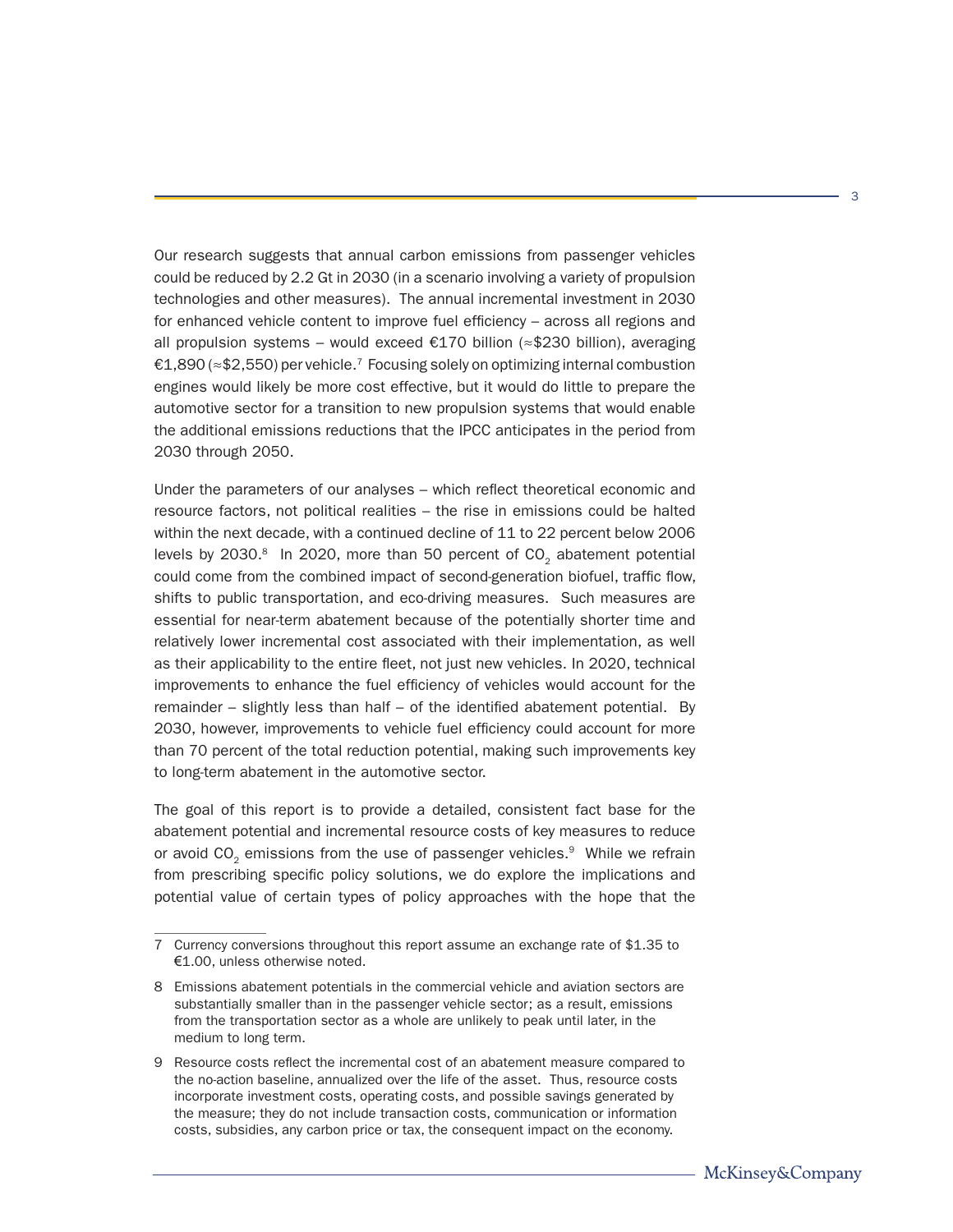Our research suggests that annual carbon emissions from passenger vehicles could be reduced by 2.2 Gt in 2030 (in a scenario involving a variety of propulsion technologies and other measures). The annual incremental investment in 2030 for enhanced vehicle content to improve fuel efficiency – across all regions and all propulsion systems – would exceed €170 billion (≈\$230 billion), averaging €1,890 ( $\approx$  \$2,550) per vehicle.<sup>7</sup> Focusing solely on optimizing internal combustion engines would likely be more cost effective, but it would do little to prepare the automotive sector for a transition to new propulsion systems that would enable the additional emissions reductions that the IPCC anticipates in the period from 2030 through 2050.

Under the parameters of our analyses – which reflect theoretical economic and resource factors, not political realities – the rise in emissions could be halted within the next decade, with a continued decline of 11 to 22 percent below 2006 levels by 2030. $8$  In 2020, more than 50 percent of  $CO<sub>2</sub>$  abatement potential could come from the combined impact of second-generation biofuel, traffic flow, shifts to public transportation, and eco-driving measures. Such measures are essential for near-term abatement because of the potentially shorter time and relatively lower incremental cost associated with their implementation, as well as their applicability to the entire fleet, not just new vehicles. In 2020, technical improvements to enhance the fuel efficiency of vehicles would account for the remainder – slightly less than half – of the identified abatement potential. By 2030, however, improvements to vehicle fuel efficiency could account for more than 70 percent of the total reduction potential, making such improvements key to long-term abatement in the automotive sector.

The goal of this report is to provide a detailed, consistent fact base for the abatement potential and incremental resource costs of key measures to reduce or avoid  $CO<sub>2</sub>$  emissions from the use of passenger vehicles.<sup>9</sup> While we refrain from prescribing specific policy solutions, we do explore the implications and potential value of certain types of policy approaches with the hope that the

<sup>7</sup> Currency conversions throughout this report assume an exchange rate of \$1.35 to €1.00, unless otherwise noted.

<sup>8</sup> Emissions abatement potentials in the commercial vehicle and aviation sectors are substantially smaller than in the passenger vehicle sector; as a result, emissions from the transportation sector as a whole are unlikely to peak until later, in the medium to long term.

<sup>9</sup> Resource costs reflect the incremental cost of an abatement measure compared to the no-action baseline, annualized over the life of the asset. Thus, resource costs incorporate investment costs, operating costs, and possible savings generated by the measure; they do not include transaction costs, communication or information costs, subsidies, any carbon price or tax, the consequent impact on the economy.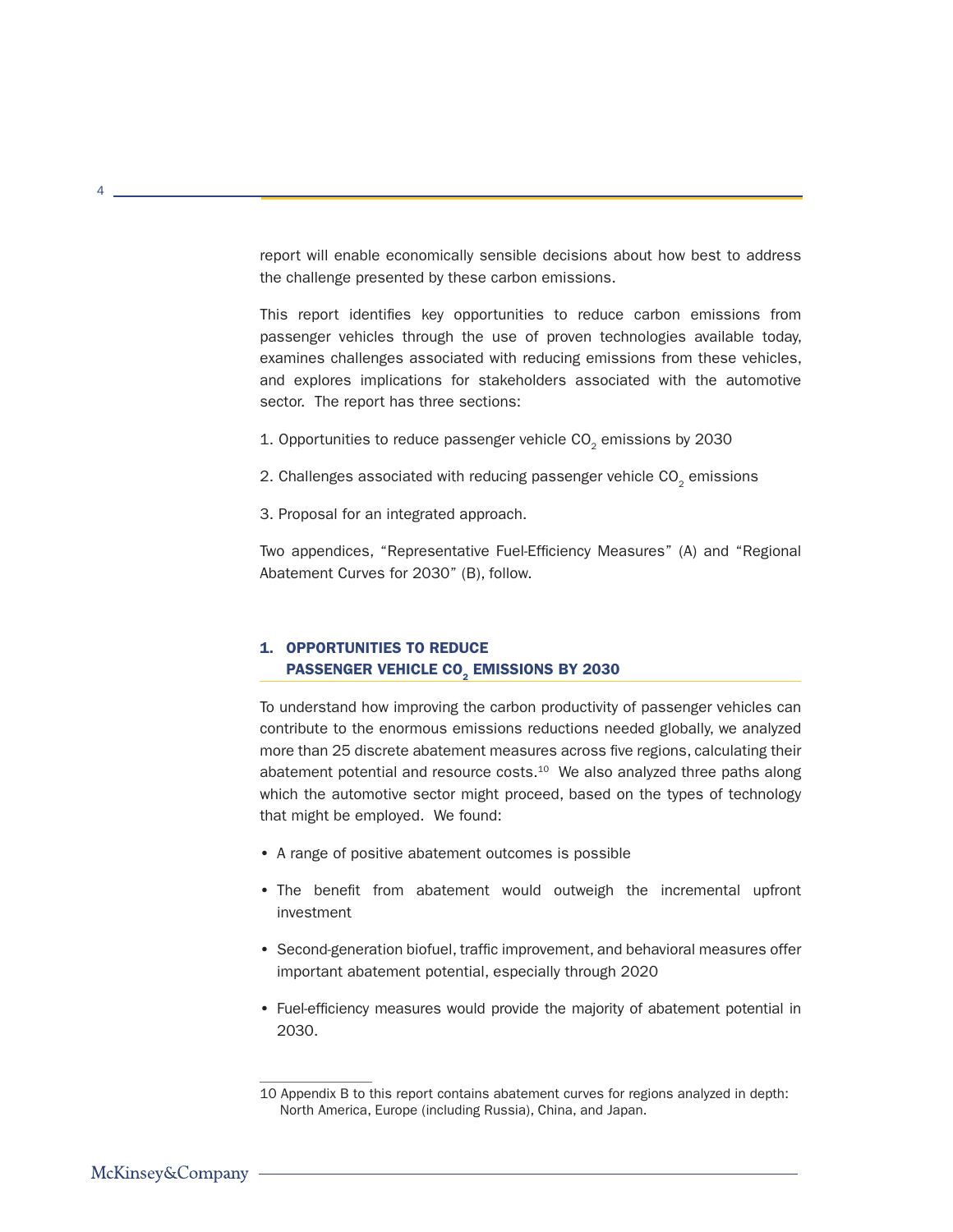report will enable economically sensible decisions about how best to address the challenge presented by these carbon emissions.

This report identifies key opportunities to reduce carbon emissions from passenger vehicles through the use of proven technologies available today, examines challenges associated with reducing emissions from these vehicles, and explores implications for stakeholders associated with the automotive sector. The report has three sections:

- 1. Opportunities to reduce passenger vehicle  $CO<sub>2</sub>$  emissions by 2030
- 2. Challenges associated with reducing passenger vehicle  $CO<sub>2</sub>$  emissions
- 3. Proposal for an integrated approach.

Two appendices, "Representative Fuel-Efficiency Measures" (A) and "Regional Abatement Curves for 2030" (B), follow.

# 1. OPPORTUNITIES TO REDUCE PASSENGER VEHICLE CO. EMISSIONS BY 2030

To understand how improving the carbon productivity of passenger vehicles can contribute to the enormous emissions reductions needed globally, we analyzed more than 25 discrete abatement measures across five regions, calculating their abatement potential and resource costs. $10$  We also analyzed three paths along which the automotive sector might proceed, based on the types of technology that might be employed. We found:

- A range of positive abatement outcomes is possible
- The benefit from abatement would outweigh the incremental upfront investment
- Second-generation biofuel, traffic improvement, and behavioral measures offer important abatement potential, especially through 2020
- Fuel-efficiency measures would provide the majority of abatement potential in 2030.

 $\Lambda$ 

<sup>10</sup> Appendix B to this report contains abatement curves for regions analyzed in depth: North America, Europe (including Russia), China, and Japan.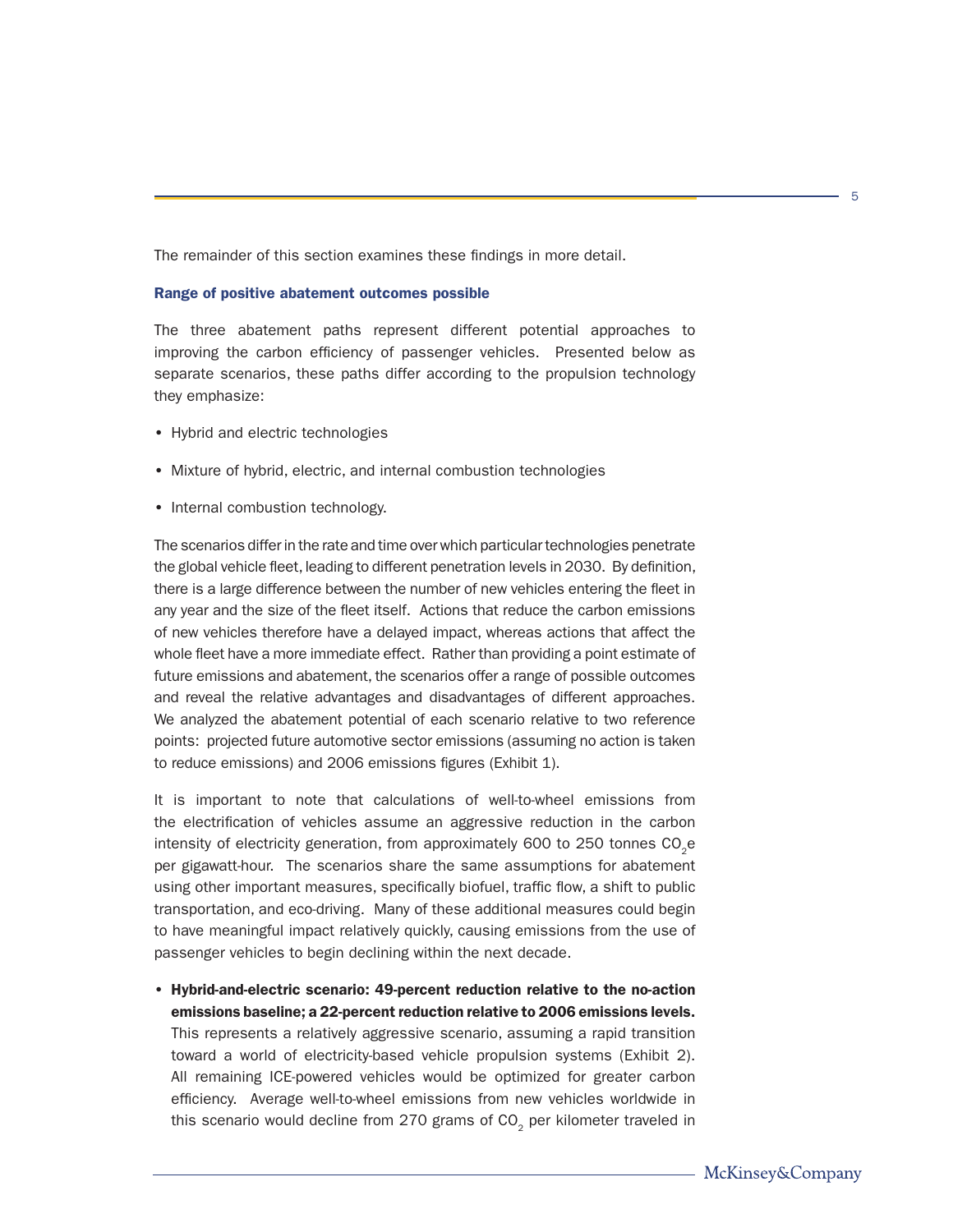The remainder of this section examines these findings in more detail.

#### Range of positive abatement outcomes possible

The three abatement paths represent different potential approaches to improving the carbon efficiency of passenger vehicles. Presented below as separate scenarios, these paths differ according to the propulsion technology they emphasize:

- Hybrid and electric technologies
- Mixture of hybrid, electric, and internal combustion technologies
- Internal combustion technology.

The scenarios differ in the rate and time over which particular technologies penetrate the global vehicle fleet, leading to different penetration levels in 2030. By definition, there is a large difference between the number of new vehicles entering the fleet in any year and the size of the fleet itself. Actions that reduce the carbon emissions of new vehicles therefore have a delayed impact, whereas actions that affect the whole fleet have a more immediate effect. Rather than providing a point estimate of future emissions and abatement, the scenarios offer a range of possible outcomes and reveal the relative advantages and disadvantages of different approaches. We analyzed the abatement potential of each scenario relative to two reference points: projected future automotive sector emissions (assuming no action is taken to reduce emissions) and 2006 emissions figures (Exhibit 1).

It is important to note that calculations of well-to-wheel emissions from the electrification of vehicles assume an aggressive reduction in the carbon intensity of electricity generation, from approximately 600 to 250 tonnes  $CO<sub>e</sub>$ e per gigawatt-hour. The scenarios share the same assumptions for abatement using other important measures, specifically biofuel, traffic flow, a shift to public transportation, and eco-driving. Many of these additional measures could begin to have meaningful impact relatively quickly, causing emissions from the use of passenger vehicles to begin declining within the next decade.

• Hybrid-and-electric scenario: 49-percent reduction relative to the no-action emissions baseline; a 22-percent reduction relative to 2006 emissions levels. This represents a relatively aggressive scenario, assuming a rapid transition toward a world of electricity-based vehicle propulsion systems (Exhibit 2). All remaining ICE-powered vehicles would be optimized for greater carbon efficiency. Average well-to-wheel emissions from new vehicles worldwide in this scenario would decline from 270 grams of  $CO<sub>2</sub>$  per kilometer traveled in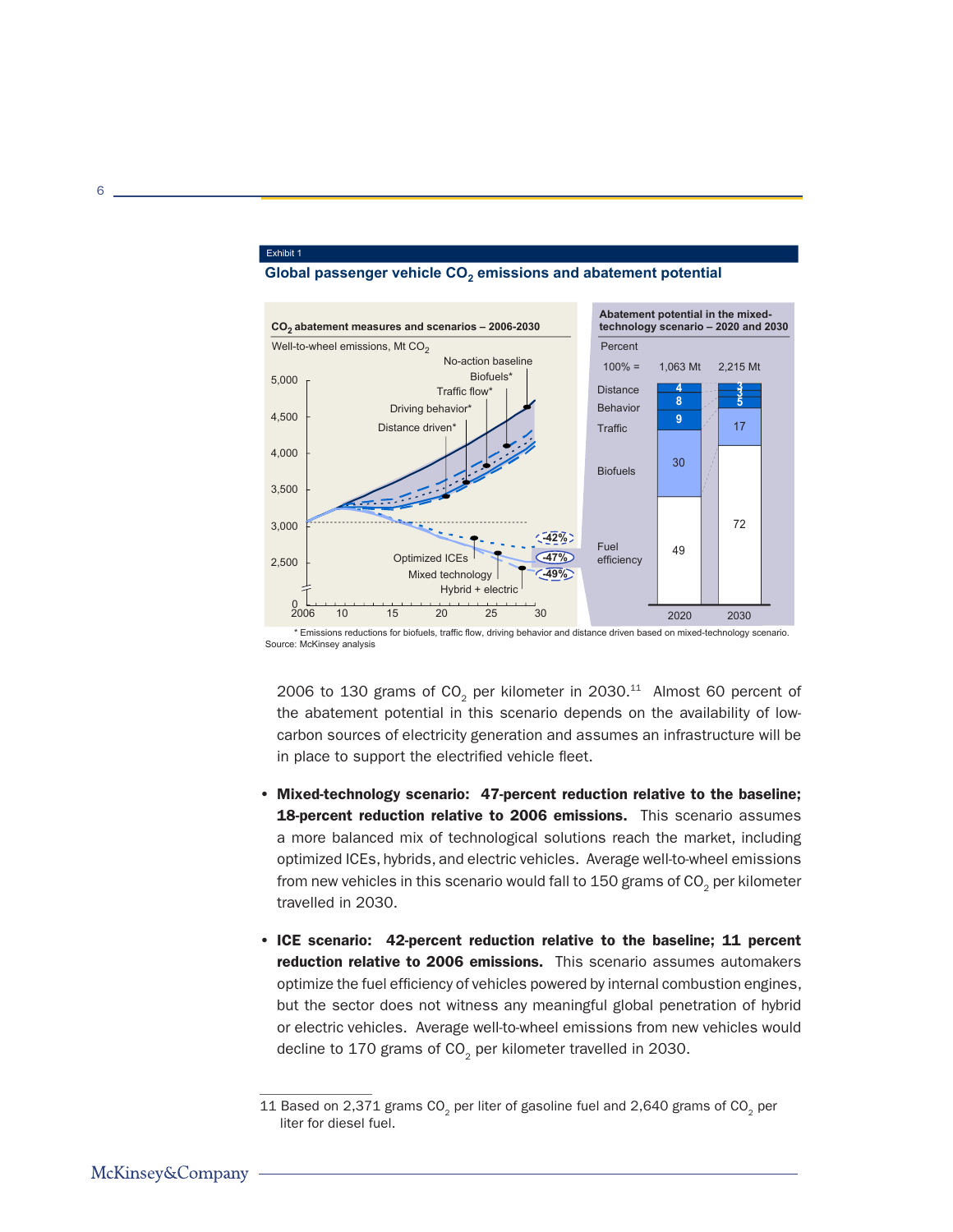

## Global passenger vehicle CO<sub>2</sub> emissions and abatement potential

\* Emissions reductions for biofuels, traffic flow, driving behavior and distance driven based on mixed-technology scenario. Source: McKinsey analysis

2006 to 130 grams of  $CO<sub>2</sub>$  per kilometer in 2030.<sup>11</sup> Almost 60 percent of the abatement potential in this scenario depends on the availability of lowcarbon sources of electricity generation and assumes an infrastructure will be in place to support the electrified vehicle fleet.

- Mixed-technology scenario: 47-percent reduction relative to the baseline; 18-percent reduction relative to 2006 emissions. This scenario assumes a more balanced mix of technological solutions reach the market, including optimized ICEs, hybrids, and electric vehicles. Average well-to-wheel emissions from new vehicles in this scenario would fall to  $150$  grams of  $CO<sub>2</sub>$  per kilometer travelled in 2030.
- ICE scenario: 42-percent reduction relative to the baseline; 11 percent reduction relative to 2006 emissions. This scenario assumes automakers optimize the fuel efficiency of vehicles powered by internal combustion engines, but the sector does not witness any meaningful global penetration of hybrid or electric vehicles. Average well-to-wheel emissions from new vehicles would decline to 170 grams of  $CO<sub>2</sub>$  per kilometer travelled in 2030.

6

Exhibit 1

<sup>11</sup> Based on 2,371 grams CO<sub>2</sub> per liter of gasoline fuel and 2,640 grams of CO<sub>2</sub> per liter for diesel fuel.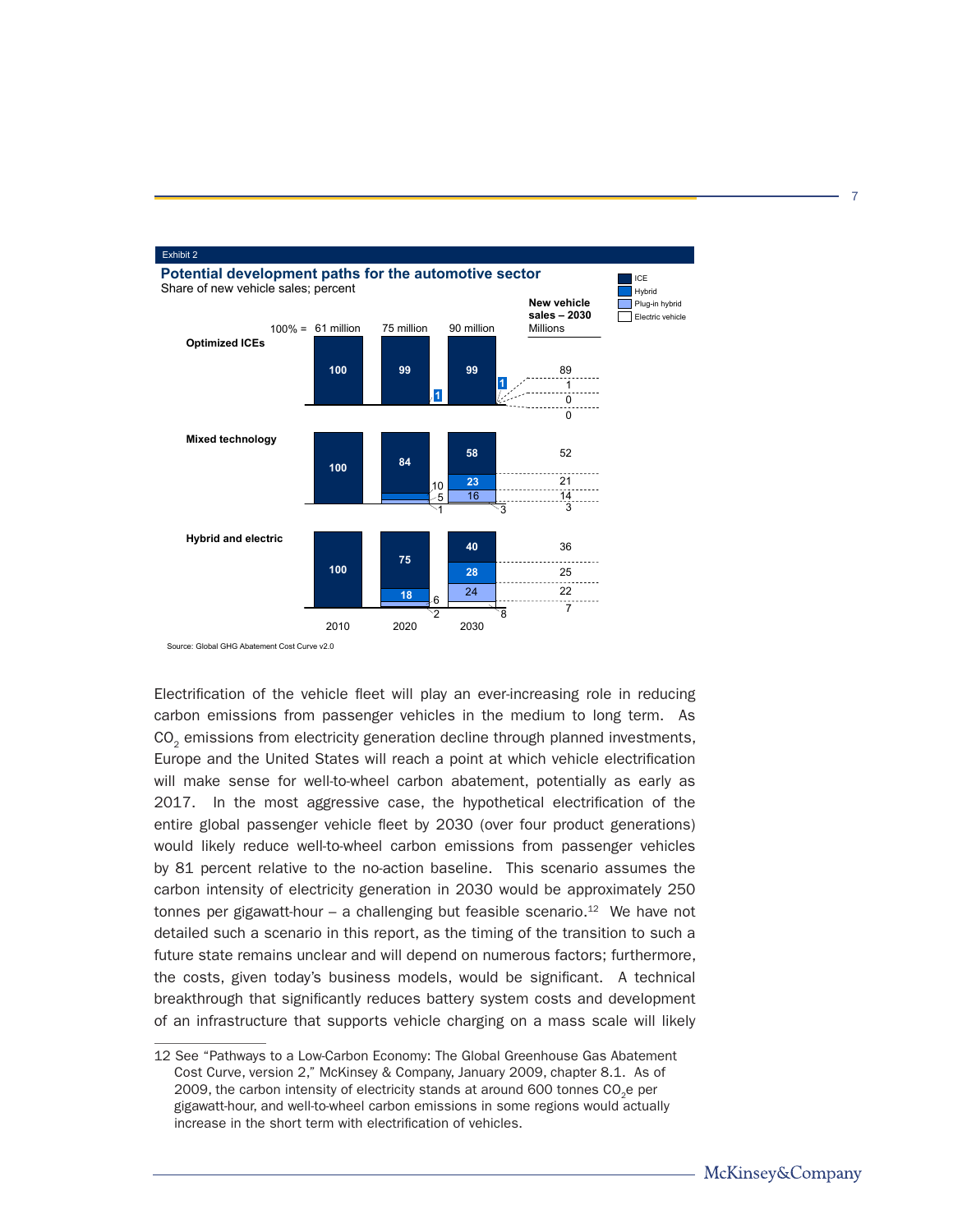

Source: Global GHG Abatement Cost Curve v2.0

Electrification of the vehicle fleet will play an ever-increasing role in reducing carbon emissions from passenger vehicles in the medium to long term. As CO<sub>2</sub> emissions from electricity generation decline through planned investments, Europe and the United States will reach a point at which vehicle electrification will make sense for well-to-wheel carbon abatement, potentially as early as 2017. In the most aggressive case, the hypothetical electrification of the entire global passenger vehicle fleet by 2030 (over four product generations) would likely reduce well-to-wheel carbon emissions from passenger vehicles by 81 percent relative to the no-action baseline. This scenario assumes the carbon intensity of electricity generation in 2030 would be approximately 250 tonnes per gigawatt-hour – a challenging but feasible scenario.<sup>12</sup> We have not detailed such a scenario in this report, as the timing of the transition to such a future state remains unclear and will depend on numerous factors; furthermore, the costs, given today's business models, would be significant. A technical breakthrough that significantly reduces battery system costs and development of an infrastructure that supports vehicle charging on a mass scale will likely

<sup>12</sup> See "Pathways to a Low-Carbon Economy: The Global Greenhouse Gas Abatement Cost Curve, version 2," McKinsey & Company, January 2009, chapter 8.1. As of 2009, the carbon intensity of electricity stands at around 600 tonnes CO<sub>2</sub>e per gigawatt-hour, and well-to-wheel carbon emissions in some regions would actually increase in the short term with electrification of vehicles.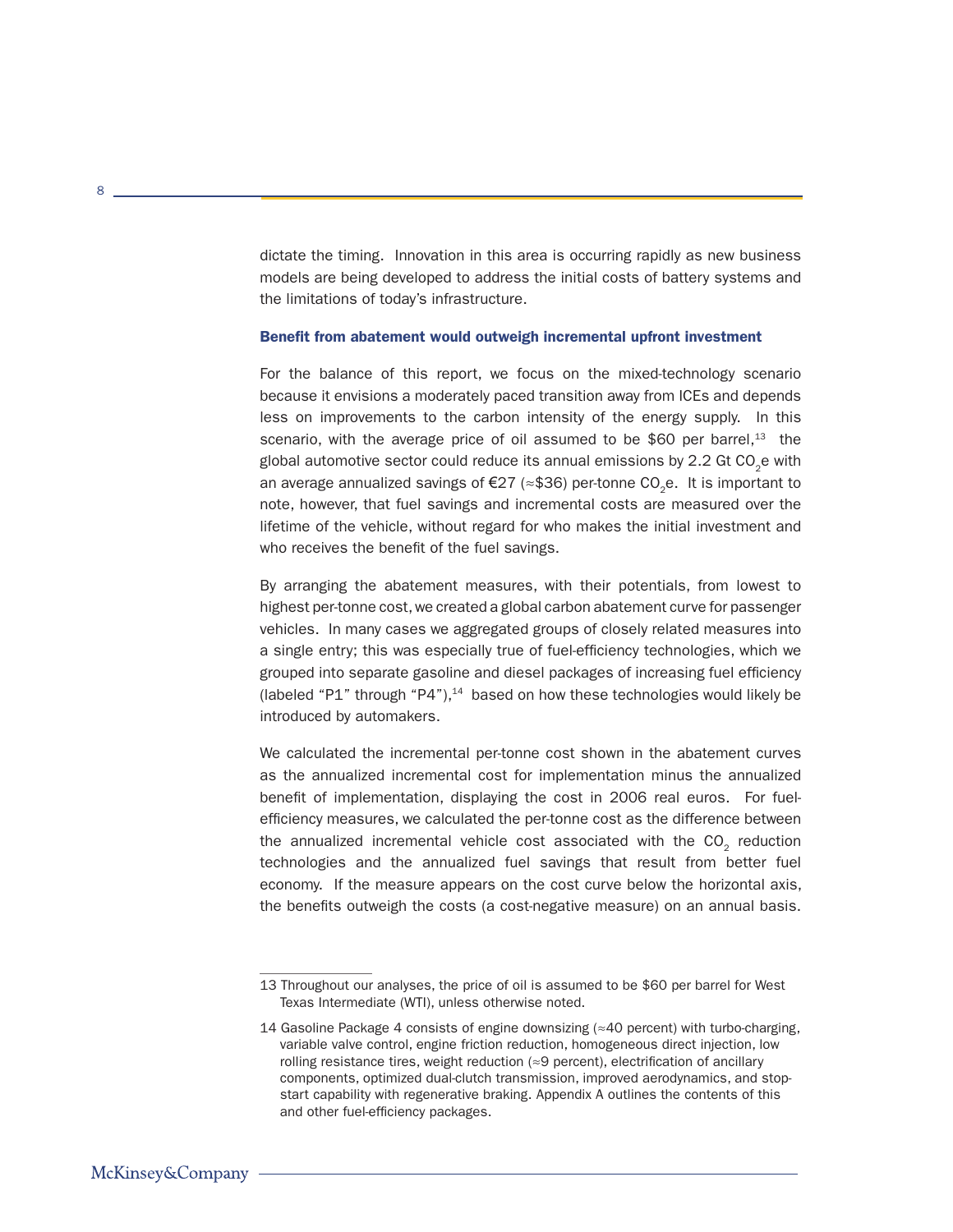dictate the timing. Innovation in this area is occurring rapidly as new business models are being developed to address the initial costs of battery systems and the limitations of today's infrastructure.

#### Benefit from abatement would outweigh incremental upfront investment

For the balance of this report, we focus on the mixed-technology scenario because it envisions a moderately paced transition away from ICEs and depends less on improvements to the carbon intensity of the energy supply. In this scenario, with the average price of oil assumed to be \$60 per barrel,<sup>13</sup> the global automotive sector could reduce its annual emissions by  $2.2$  Gt CO<sub>2</sub>e with an average annualized savings of €27 ( $\approx$ \$36) per-tonne CO<sub>2</sub>e. It is important to note, however, that fuel savings and incremental costs are measured over the lifetime of the vehicle, without regard for who makes the initial investment and who receives the benefit of the fuel savings.

By arranging the abatement measures, with their potentials, from lowest to highest per-tonne cost, we created a global carbon abatement curve for passenger vehicles. In many cases we aggregated groups of closely related measures into a single entry; this was especially true of fuel-efficiency technologies, which we grouped into separate gasoline and diesel packages of increasing fuel efficiency (labeled "P1" through "P4"), $14$  based on how these technologies would likely be introduced by automakers.

We calculated the incremental per-tonne cost shown in the abatement curves as the annualized incremental cost for implementation minus the annualized benefit of implementation, displaying the cost in 2006 real euros. For fuelefficiency measures, we calculated the per-tonne cost as the difference between the annualized incremental vehicle cost associated with the CO<sub>2</sub> reduction technologies and the annualized fuel savings that result from better fuel economy. If the measure appears on the cost curve below the horizontal axis, the benefits outweigh the costs (a cost-negative measure) on an annual basis.

<sup>13</sup> Throughout our analyses, the price of oil is assumed to be \$60 per barrel for West Texas Intermediate (WTI), unless otherwise noted.

<sup>14</sup> Gasoline Package 4 consists of engine downsizing (≈40 percent) with turbo-charging, variable valve control, engine friction reduction, homogeneous direct injection, low rolling resistance tires, weight reduction  $(\approx 9$  percent), electrification of ancillary components, optimized dual-clutch transmission, improved aerodynamics, and stopstart capability with regenerative braking. Appendix A outlines the contents of this and other fuel-efficiency packages.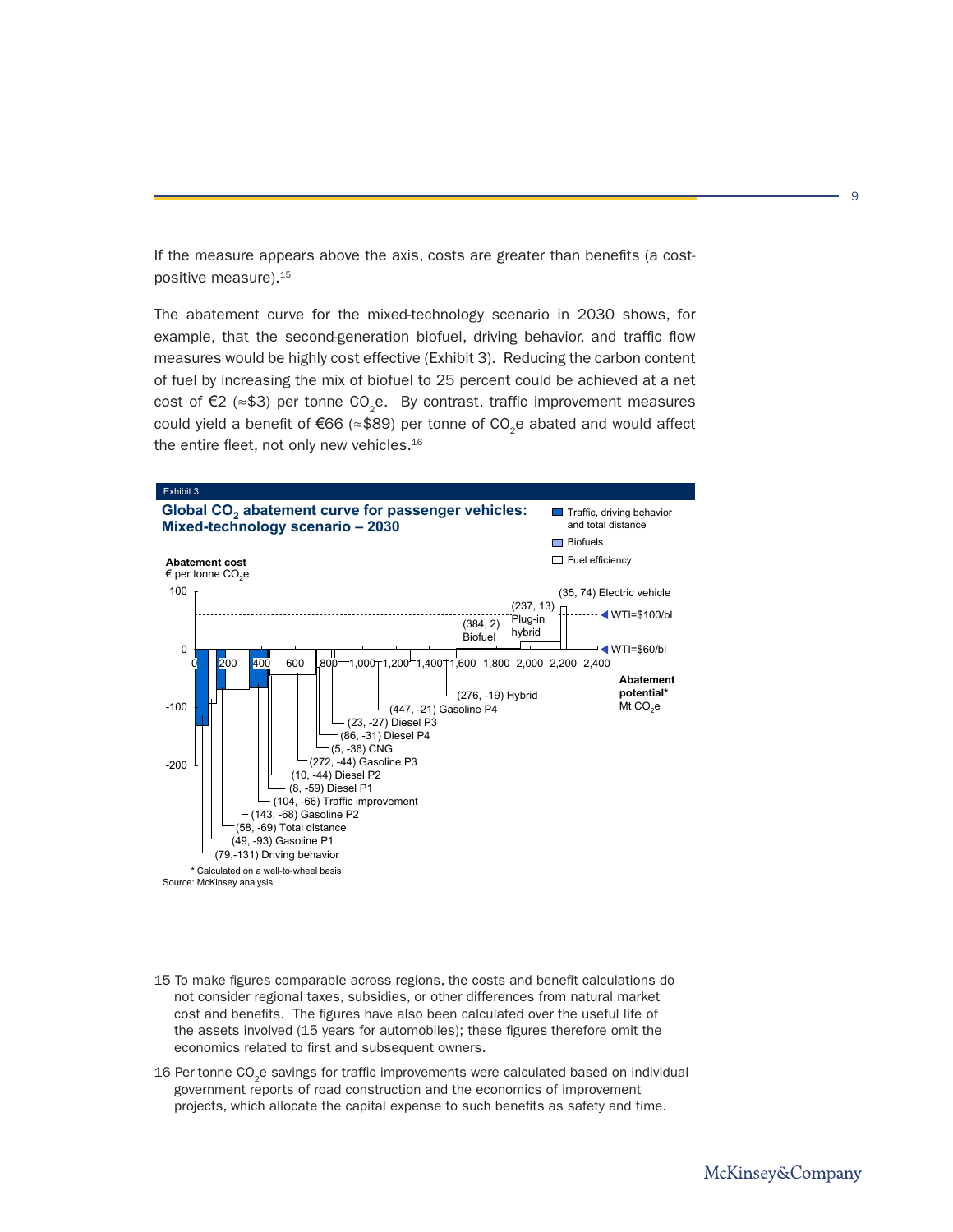If the measure appears above the axis, costs are greater than benefits (a costpositive measure).15

The abatement curve for the mixed-technology scenario in 2030 shows, for example, that the second-generation biofuel, driving behavior, and traffic flow measures would be highly cost effective (Exhibit 3). Reducing the carbon content of fuel by increasing the mix of biofuel to 25 percent could be achieved at a net cost of  $\epsilon$ 2 (≈\$3) per tonne CO<sub>2</sub>e. By contrast, traffic improvement measures could yield a benefit of €66 ( $\approx$ \$89) per tonne of CO<sub>2</sub>e abated and would affect the entire fleet, not only new vehicles.<sup>16</sup>



<sup>15</sup> To make figures comparable across regions, the costs and benefit calculations do not consider regional taxes, subsidies, or other differences from natural market cost and benefits. The figures have also been calculated over the useful life of the assets involved (15 years for automobiles); these figures therefore omit the economics related to first and subsequent owners.

16 Per-tonne CO<sub>2</sub>e savings for traffic improvements were calculated based on individual government reports of road construction and the economics of improvement projects, which allocate the capital expense to such benefits as safety and time.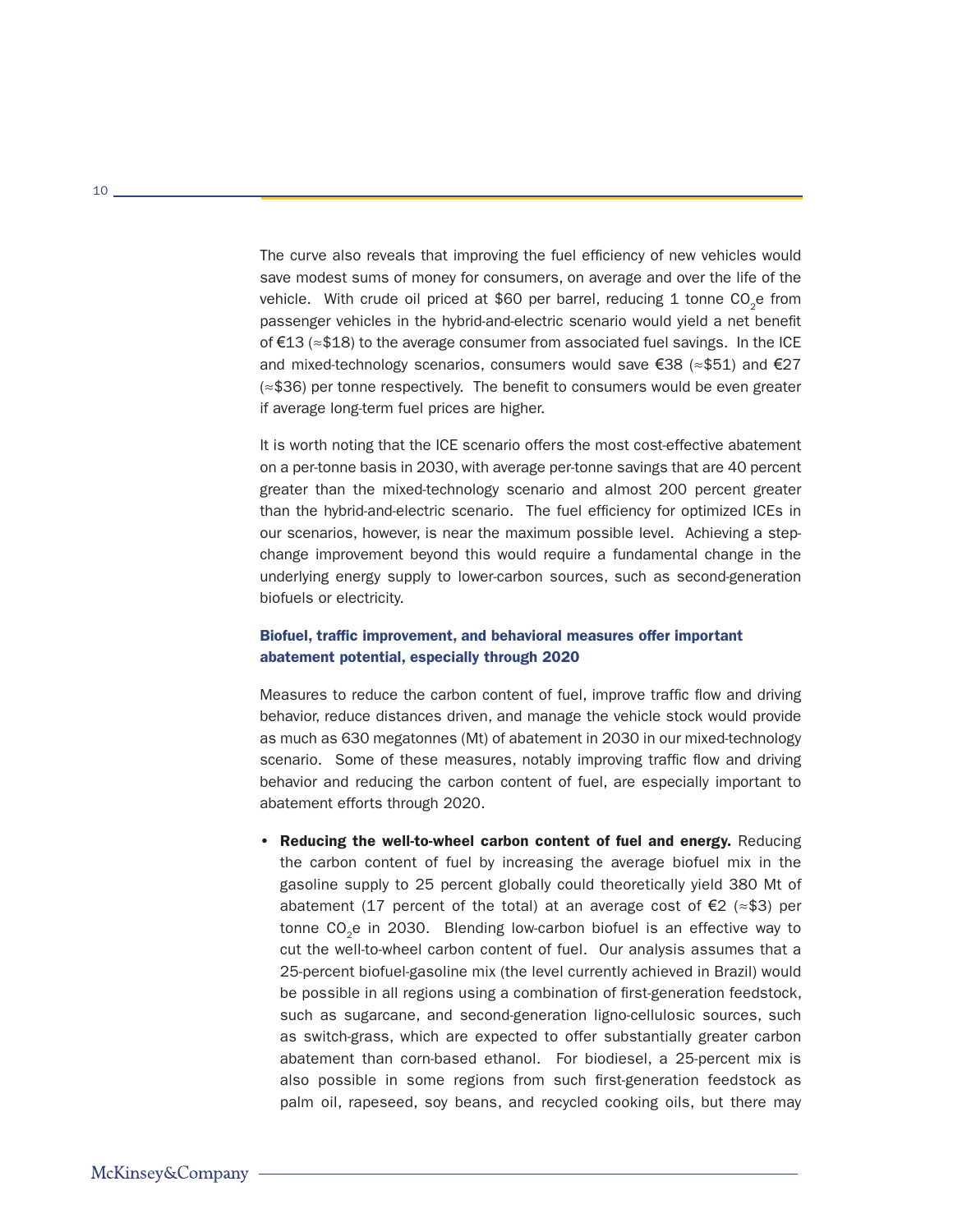The curve also reveals that improving the fuel efficiency of new vehicles would save modest sums of money for consumers, on average and over the life of the vehicle. With crude oil priced at \$60 per barrel, reducing 1 tonne  $CO<sub>2</sub>e$  from passenger vehicles in the hybrid-and-electric scenario would yield a net benefit of €13 (≈\$18) to the average consumer from associated fuel savings. In the ICE and mixed-technology scenarios, consumers would save  $\epsilon$ 38 ( $\approx$ \$51) and  $\epsilon$ 27 (≈\$36) per tonne respectively. The benefit to consumers would be even greater if average long-term fuel prices are higher.

It is worth noting that the ICE scenario offers the most cost-effective abatement on a per-tonne basis in 2030, with average per-tonne savings that are 40 percent greater than the mixed-technology scenario and almost 200 percent greater than the hybrid-and-electric scenario. The fuel efficiency for optimized ICEs in our scenarios, however, is near the maximum possible level. Achieving a stepchange improvement beyond this would require a fundamental change in the underlying energy supply to lower-carbon sources, such as second-generation biofuels or electricity.

# Biofuel, traffic improvement, and behavioral measures offer important abatement potential, especially through 2020

Measures to reduce the carbon content of fuel, improve traffic flow and driving behavior, reduce distances driven, and manage the vehicle stock would provide as much as 630 megatonnes (Mt) of abatement in 2030 in our mixed-technology scenario. Some of these measures, notably improving traffic flow and driving behavior and reducing the carbon content of fuel, are especially important to abatement efforts through 2020.

• Reducing the well-to-wheel carbon content of fuel and energy. Reducing the carbon content of fuel by increasing the average biofuel mix in the gasoline supply to 25 percent globally could theoretically yield 380 Mt of abatement (17 percent of the total) at an average cost of €2 ( $\approx$ \$3) per tonne CO<sub>2</sub>e in 2030. Blending low-carbon biofuel is an effective way to cut the well-to-wheel carbon content of fuel. Our analysis assumes that a 25-percent biofuel-gasoline mix (the level currently achieved in Brazil) would be possible in all regions using a combination of first-generation feedstock, such as sugarcane, and second-generation ligno-cellulosic sources, such as switch-grass, which are expected to offer substantially greater carbon abatement than corn-based ethanol. For biodiesel, a 25-percent mix is also possible in some regions from such first-generation feedstock as palm oil, rapeseed, soy beans, and recycled cooking oils, but there may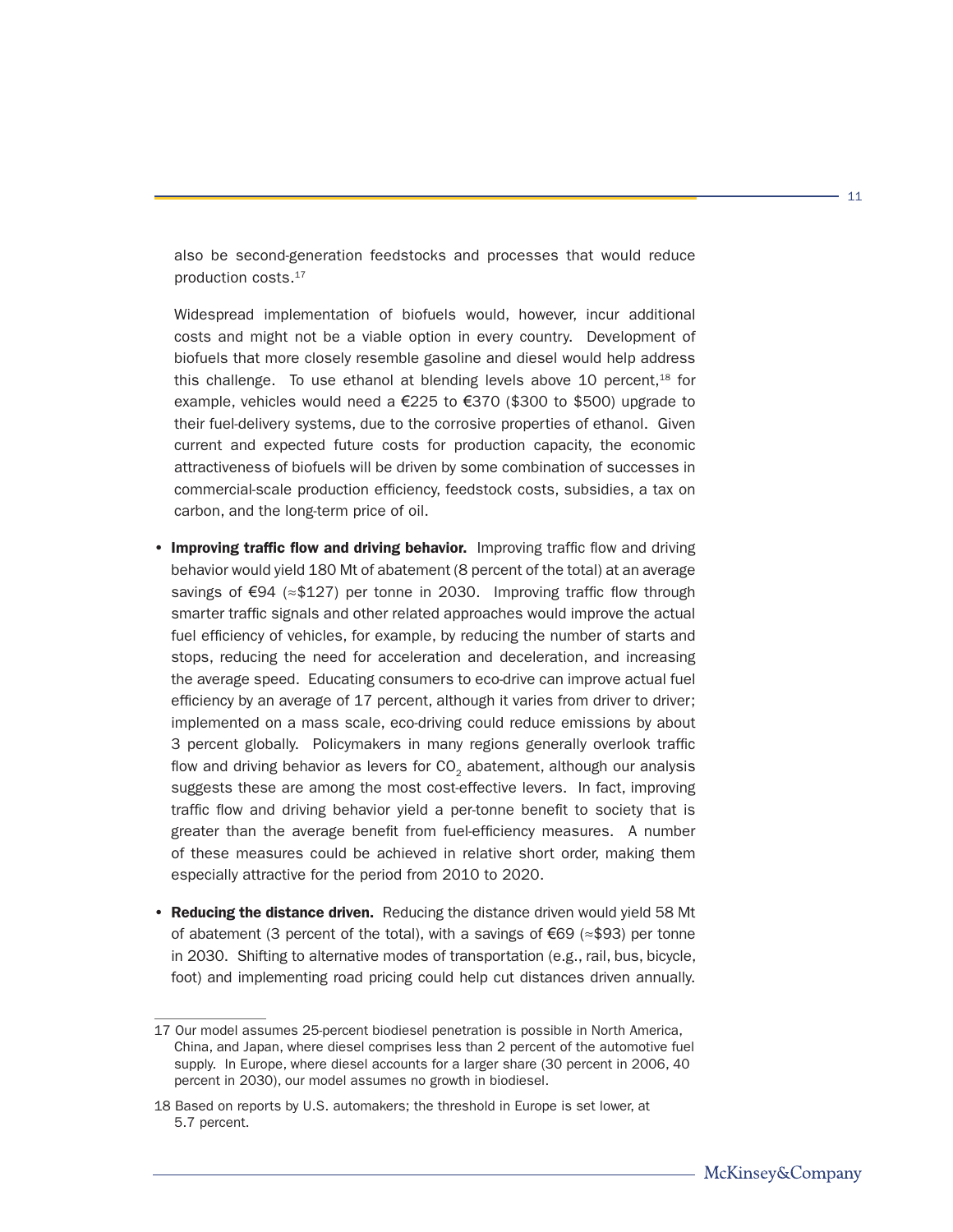also be second-generation feedstocks and processes that would reduce production costs.17

Widespread implementation of biofuels would, however, incur additional costs and might not be a viable option in every country. Development of biofuels that more closely resemble gasoline and diesel would help address this challenge. To use ethanol at blending levels above 10 percent, $18$  for example, vehicles would need a €225 to €370 (\$300 to \$500) upgrade to their fuel-delivery systems, due to the corrosive properties of ethanol. Given current and expected future costs for production capacity, the economic attractiveness of biofuels will be driven by some combination of successes in commercial-scale production efficiency, feedstock costs, subsidies, a tax on carbon, and the long-term price of oil.

- Improving traffic flow and driving behavior. Improving traffic flow and driving behavior would yield 180 Mt of abatement (8 percent of the total) at an average savings of €94 (≈\$127) per tonne in 2030. Improving traffic flow through smarter traffic signals and other related approaches would improve the actual fuel efficiency of vehicles, for example, by reducing the number of starts and stops, reducing the need for acceleration and deceleration, and increasing the average speed. Educating consumers to eco-drive can improve actual fuel efficiency by an average of 17 percent, although it varies from driver to driver; implemented on a mass scale, eco-driving could reduce emissions by about 3 percent globally. Policymakers in many regions generally overlook traffic flow and driving behavior as levers for CO<sub>2</sub> abatement, although our analysis suggests these are among the most cost-effective levers. In fact, improving traffic flow and driving behavior yield a per-tonne benefit to society that is greater than the average benefit from fuel-efficiency measures. A number of these measures could be achieved in relative short order, making them especially attractive for the period from 2010 to 2020.
- Reducing the distance driven. Reducing the distance driven would yield 58 Mt of abatement (3 percent of the total), with a savings of €69 ( $\approx$ \$93) per tonne in 2030. Shifting to alternative modes of transportation (e.g., rail, bus, bicycle, foot) and implementing road pricing could help cut distances driven annually.

<sup>17</sup> Our model assumes 25-percent biodiesel penetration is possible in North America, China, and Japan, where diesel comprises less than 2 percent of the automotive fuel supply. In Europe, where diesel accounts for a larger share (30 percent in 2006, 40 percent in 2030), our model assumes no growth in biodiesel.

<sup>18</sup> Based on reports by U.S. automakers; the threshold in Europe is set lower, at 5.7 percent.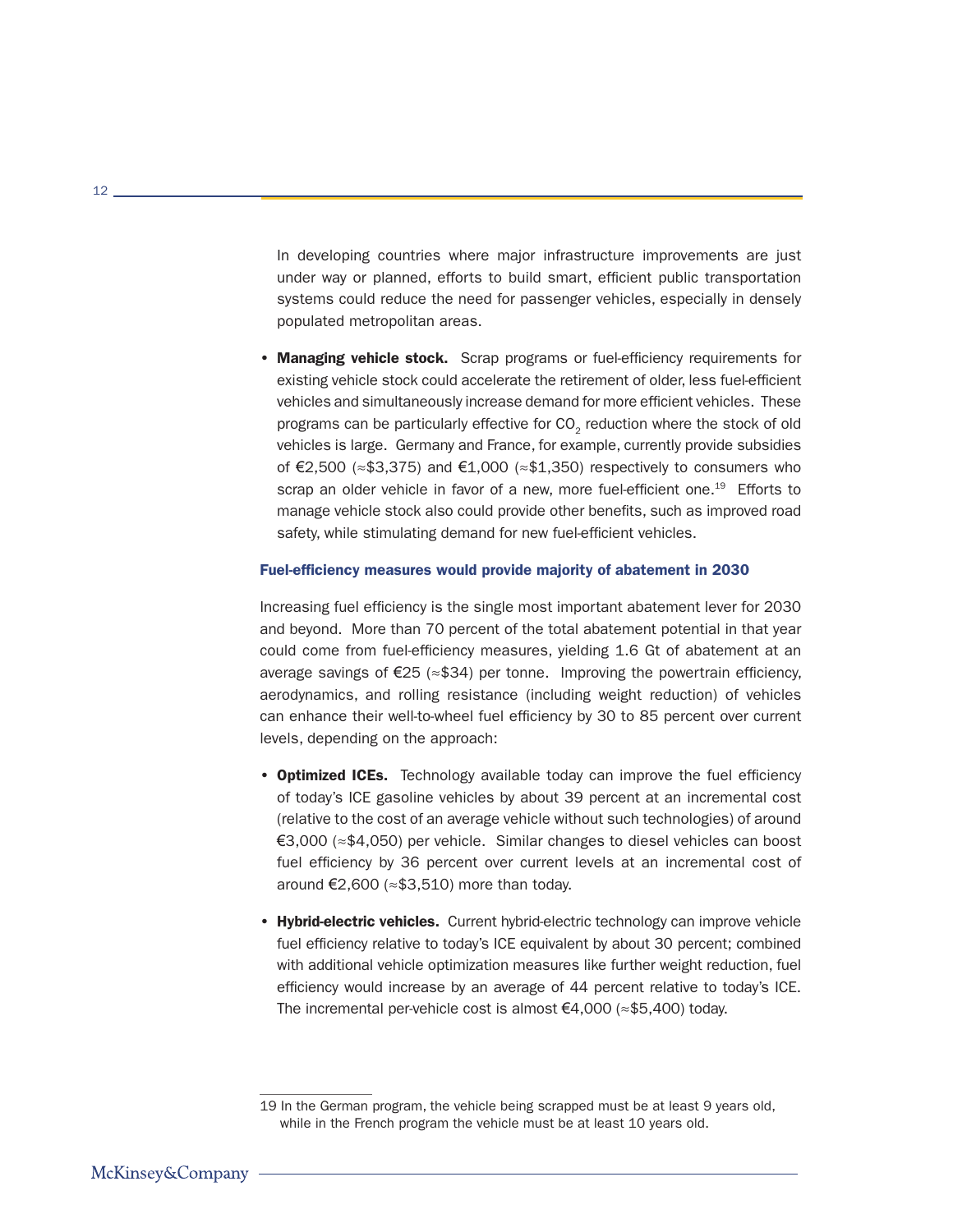In developing countries where major infrastructure improvements are just under way or planned, efforts to build smart, efficient public transportation systems could reduce the need for passenger vehicles, especially in densely populated metropolitan areas.

• Managing vehicle stock. Scrap programs or fuel-efficiency requirements for existing vehicle stock could accelerate the retirement of older, less fuel-efficient vehicles and simultaneously increase demand for more efficient vehicles. These programs can be particularly effective for CO<sub>2</sub> reduction where the stock of old vehicles is large. Germany and France, for example, currently provide subsidies of €2,500 ( $\approx$ \$3,375) and €1,000 ( $\approx$ \$1,350) respectively to consumers who scrap an older vehicle in favor of a new, more fuel-efficient one.<sup>19</sup> Efforts to manage vehicle stock also could provide other benefits, such as improved road safety, while stimulating demand for new fuel-efficient vehicles.

#### Fuel-efficiency measures would provide majority of abatement in 2030

Increasing fuel efficiency is the single most important abatement lever for 2030 and beyond. More than 70 percent of the total abatement potential in that year could come from fuel-efficiency measures, yielding 1.6 Gt of abatement at an average savings of  $\epsilon$ 25 ( $\approx$ \$34) per tonne. Improving the powertrain efficiency, aerodynamics, and rolling resistance (including weight reduction) of vehicles can enhance their well-to-wheel fuel efficiency by 30 to 85 percent over current levels, depending on the approach:

- **Optimized ICEs.** Technology available today can improve the fuel efficiency of today's ICE gasoline vehicles by about 39 percent at an incremental cost (relative to the cost of an average vehicle without such technologies) of around €3,000 (≈\$4,050) per vehicle. Similar changes to diesel vehicles can boost fuel efficiency by 36 percent over current levels at an incremental cost of around €2,600 (≈\$3,510) more than today.
- Hybrid-electric vehicles. Current hybrid-electric technology can improve vehicle fuel efficiency relative to today's ICE equivalent by about 30 percent; combined with additional vehicle optimization measures like further weight reduction, fuel efficiency would increase by an average of 44 percent relative to today's ICE. The incremental per-vehicle cost is almost €4,000 (≈\$5,400) today.

<sup>19</sup> In the German program, the vehicle being scrapped must be at least 9 years old, while in the French program the vehicle must be at least 10 years old.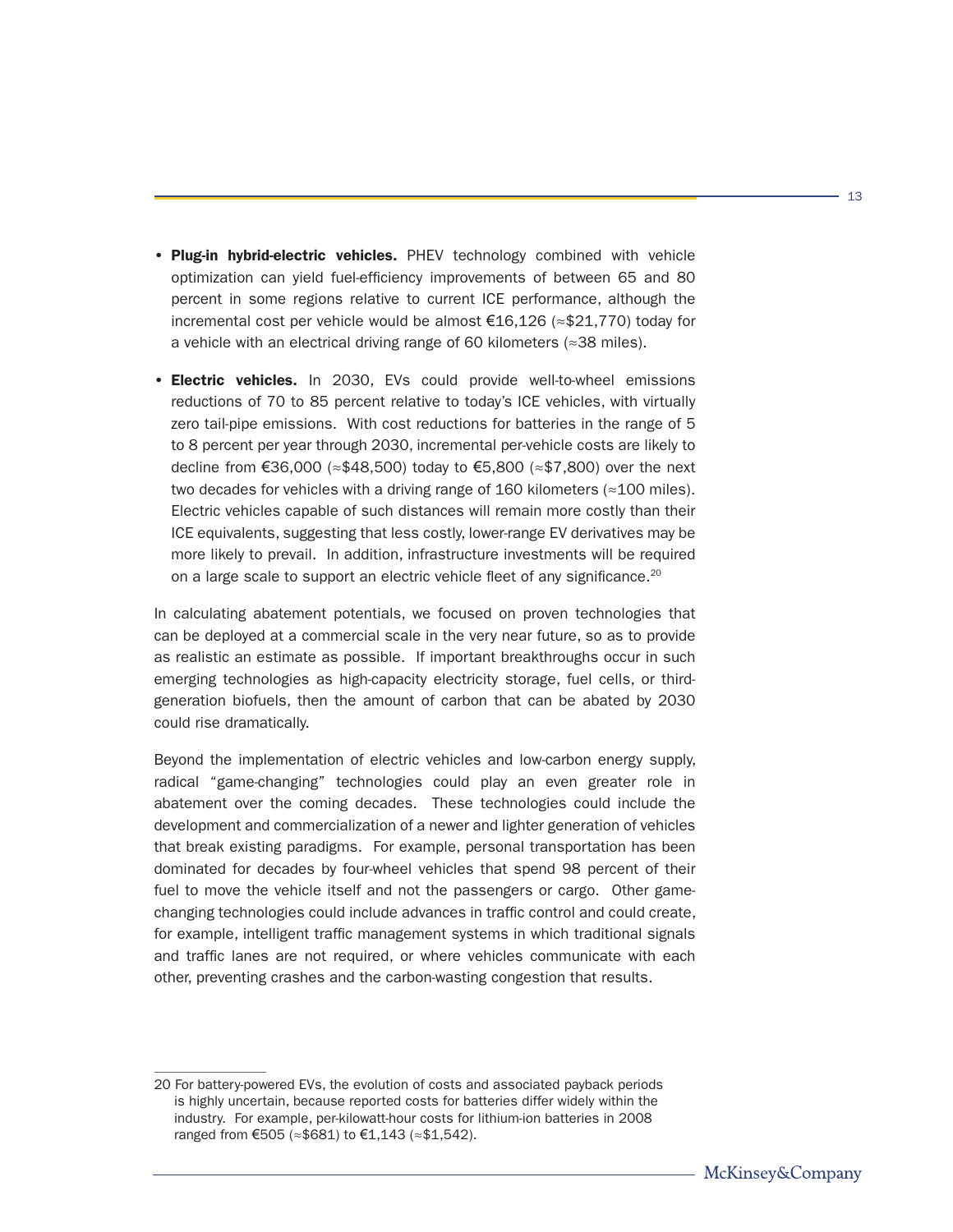- Plug-in hybrid-electric vehicles. PHEV technology combined with vehicle optimization can yield fuel-efficiency improvements of between 65 and 80 percent in some regions relative to current ICE performance, although the incremental cost per vehicle would be almost €16,126 (≈\$21,770) today for a vehicle with an electrical driving range of 60 kilometers (≈38 miles).
- Electric vehicles. In 2030, EVs could provide well-to-wheel emissions reductions of 70 to 85 percent relative to today's ICE vehicles, with virtually zero tail-pipe emissions. With cost reductions for batteries in the range of 5 to 8 percent per year through 2030, incremental per-vehicle costs are likely to decline from €36,000 ( $\approx$ \$48,500) today to €5,800 ( $\approx$ \$7,800) over the next two decades for vehicles with a driving range of 160 kilometers ( $\approx$ 100 miles). Electric vehicles capable of such distances will remain more costly than their ICE equivalents, suggesting that less costly, lower-range EV derivatives may be more likely to prevail. In addition, infrastructure investments will be required on a large scale to support an electric vehicle fleet of any significance.<sup>20</sup>

In calculating abatement potentials, we focused on proven technologies that can be deployed at a commercial scale in the very near future, so as to provide as realistic an estimate as possible. If important breakthroughs occur in such emerging technologies as high-capacity electricity storage, fuel cells, or thirdgeneration biofuels, then the amount of carbon that can be abated by 2030 could rise dramatically.

Beyond the implementation of electric vehicles and low-carbon energy supply, radical "game-changing" technologies could play an even greater role in abatement over the coming decades. These technologies could include the development and commercialization of a newer and lighter generation of vehicles that break existing paradigms. For example, personal transportation has been dominated for decades by four-wheel vehicles that spend 98 percent of their fuel to move the vehicle itself and not the passengers or cargo. Other gamechanging technologies could include advances in traffic control and could create, for example, intelligent traffic management systems in which traditional signals and traffic lanes are not required, or where vehicles communicate with each other, preventing crashes and the carbon-wasting congestion that results.

<sup>20</sup> For battery-powered EVs, the evolution of costs and associated payback periods is highly uncertain, because reported costs for batteries differ widely within the industry. For example, per-kilowatt-hour costs for lithium-ion batteries in 2008 ranged from €505 (≈\$681) to €1,143 (≈\$1,542).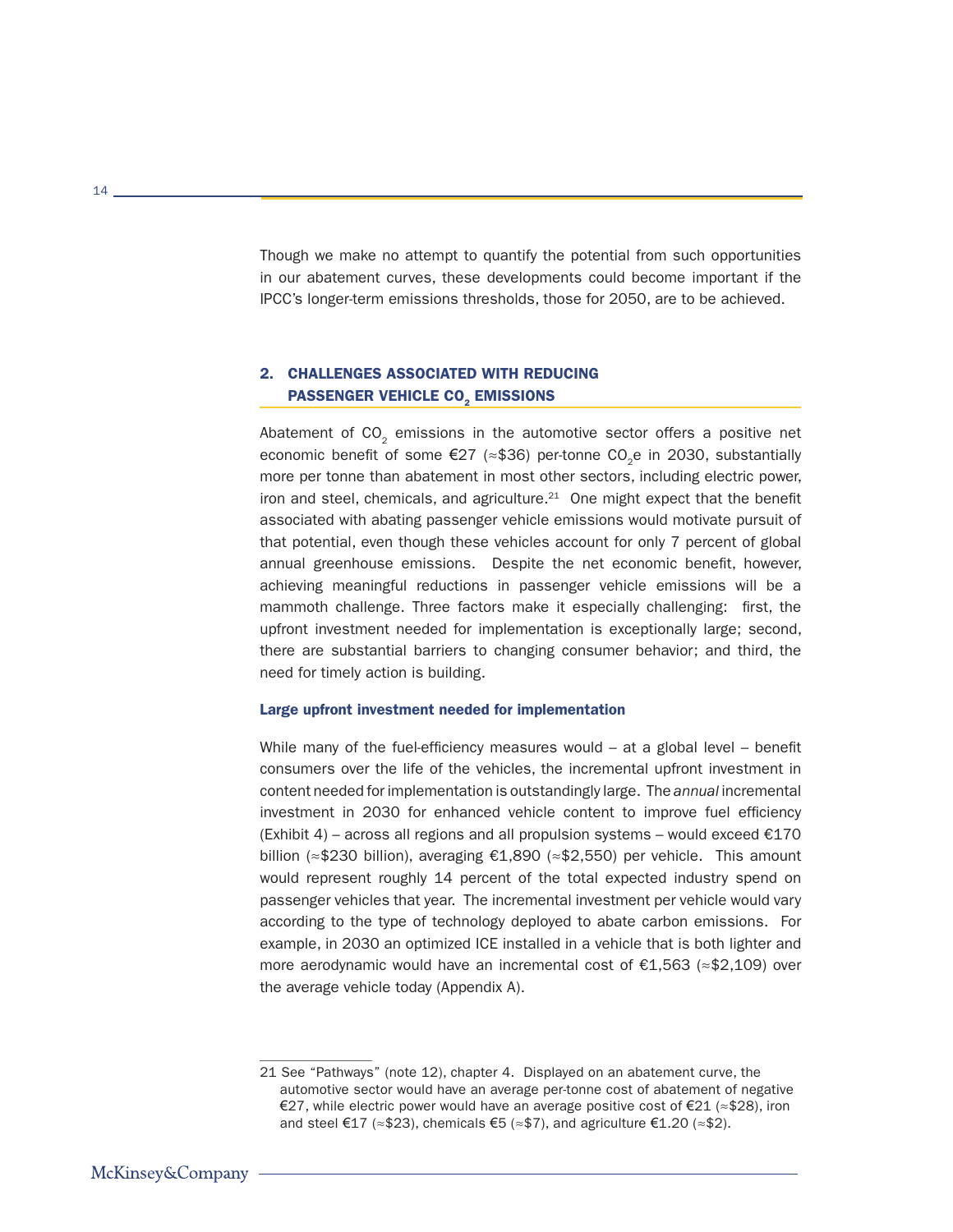Though we make no attempt to quantify the potential from such opportunities in our abatement curves, these developments could become important if the IPCC's longer-term emissions thresholds, those for 2050, are to be achieved.

# 2. CHALLENGES ASSOCIATED WITH REDUCING PASSENGER VEHICLE CO<sub>2</sub> EMISSIONS

Abatement of  $CO<sub>2</sub>$  emissions in the automotive sector offers a positive net economic benefit of some €27 ( $\approx$ \$36) per-tonne CO<sub>2</sub>e in 2030, substantially more per tonne than abatement in most other sectors, including electric power, iron and steel, chemicals, and agriculture. $21$  One might expect that the benefit associated with abating passenger vehicle emissions would motivate pursuit of that potential, even though these vehicles account for only 7 percent of global annual greenhouse emissions. Despite the net economic benefit, however, achieving meaningful reductions in passenger vehicle emissions will be a mammoth challenge. Three factors make it especially challenging: first, the upfront investment needed for implementation is exceptionally large; second, there are substantial barriers to changing consumer behavior; and third, the need for timely action is building.

#### Large upfront investment needed for implementation

While many of the fuel-efficiency measures would  $-$  at a global level  $-$  benefit consumers over the life of the vehicles, the incremental upfront investment in content needed for implementation is outstandingly large. The *annual* incremental investment in 2030 for enhanced vehicle content to improve fuel efficiency (Exhibit 4) – across all regions and all propulsion systems – would exceed  $\epsilon$ 170 billion (≈\$230 billion), averaging €1,890 (≈\$2,550) per vehicle. This amount would represent roughly 14 percent of the total expected industry spend on passenger vehicles that year. The incremental investment per vehicle would vary according to the type of technology deployed to abate carbon emissions. For example, in 2030 an optimized ICE installed in a vehicle that is both lighter and more aerodynamic would have an incremental cost of €1,563 (≈\$2,109) over the average vehicle today (Appendix A).

<sup>21</sup> See "Pathways" (note 12), chapter 4. Displayed on an abatement curve, the automotive sector would have an average per-tonne cost of abatement of negative €27, while electric power would have an average positive cost of €21 ( $\approx$ \$28), iron and steel €17 (≈\$23), chemicals €5 (≈\$7), and agriculture €1.20 (≈\$2).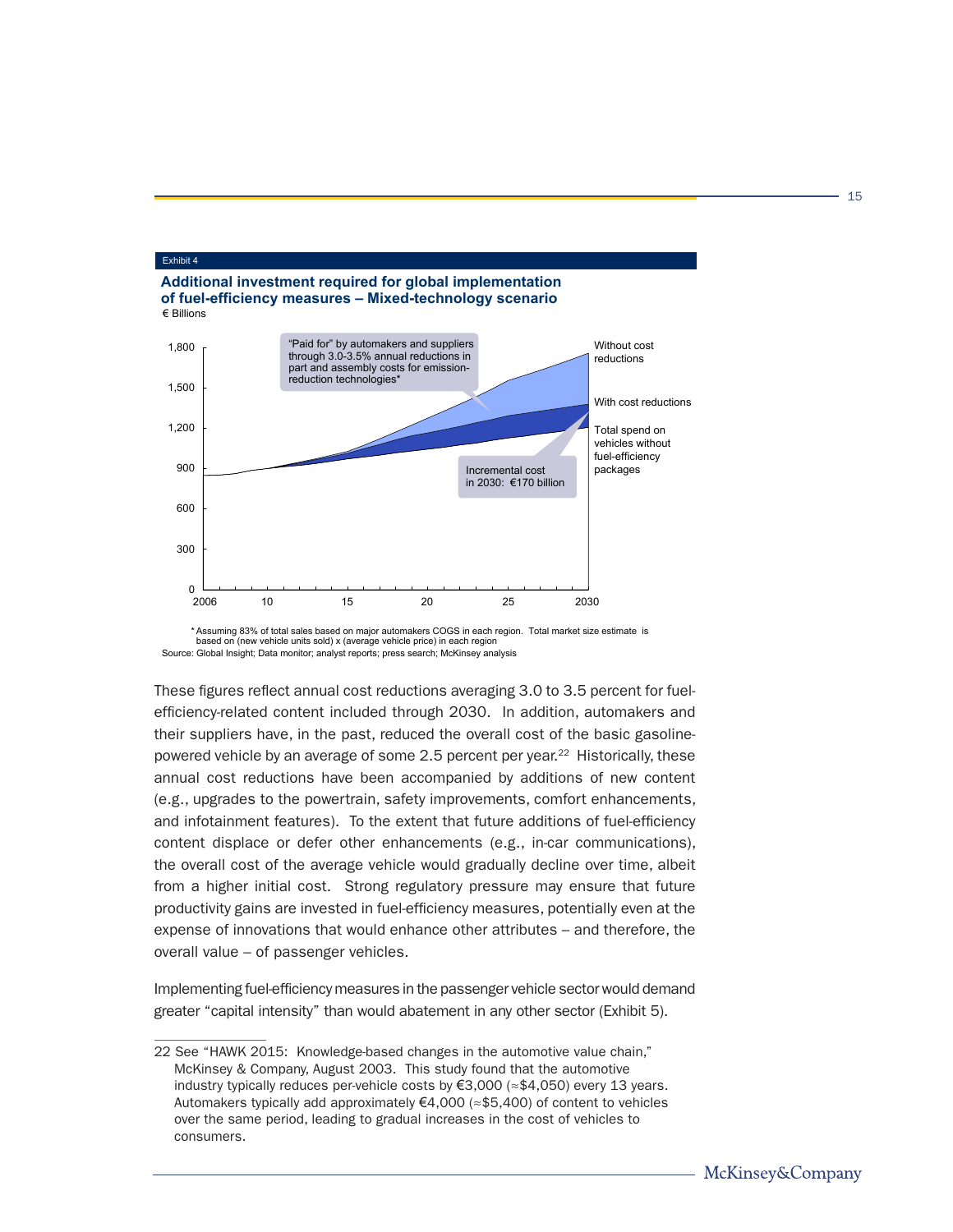

<sup>\*</sup> Assuming 83% of total sales based on major automakers COGS in each region. Total market size estimate is based on (new vehicle units sold) x (average vehicle price) in each region Source: Global Insight; Data monitor; analyst reports; press search; McKinsey analysis

These figures reflect annual cost reductions averaging 3.0 to 3.5 percent for fuelefficiency-related content included through 2030. In addition, automakers and their suppliers have, in the past, reduced the overall cost of the basic gasolinepowered vehicle by an average of some 2.5 percent per year.<sup>22</sup> Historically, these annual cost reductions have been accompanied by additions of new content (e.g., upgrades to the powertrain, safety improvements, comfort enhancements, and infotainment features). To the extent that future additions of fuel-efficiency content displace or defer other enhancements (e.g., in-car communications), the overall cost of the average vehicle would gradually decline over time, albeit from a higher initial cost. Strong regulatory pressure may ensure that future productivity gains are invested in fuel-efficiency measures, potentially even at the expense of innovations that would enhance other attributes – and therefore, the overall value – of passenger vehicles.

Implementing fuel-efficiency measures in the passenger vehicle sector would demand greater "capital intensity" than would abatement in any other sector (Exhibit 5).

<sup>22</sup> See "HAWK 2015: Knowledge-based changes in the automotive value chain," McKinsey & Company, August 2003. This study found that the automotive industry typically reduces per-vehicle costs by €3,000 (≈\$4,050) every 13 years. Automakers typically add approximately €4,000 (≈\$5,400) of content to vehicles over the same period, leading to gradual increases in the cost of vehicles to consumers.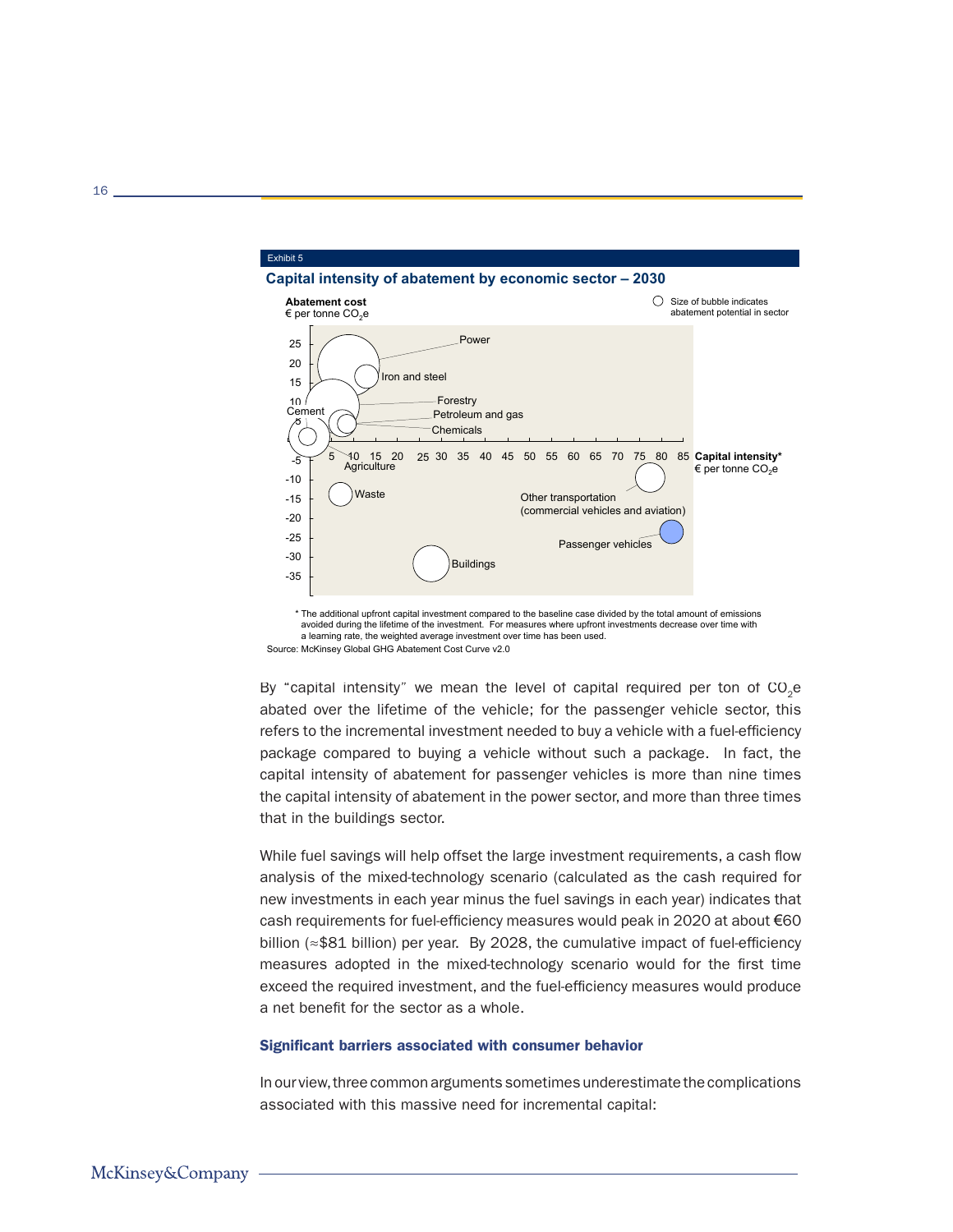

avoided during the lifetime of the investment. For measures where upfront investments decrease over time with a learning rate, the weighted average investment over time has been used. Source: McKinsey Global GHG Abatement Cost Curve v2.0

By "capital intensity" we mean the level of capital required per ton of  $CO<sub>2</sub>e$ abated over the lifetime of the vehicle; for the passenger vehicle sector, this refers to the incremental investment needed to buy a vehicle with a fuel-efficiency package compared to buying a vehicle without such a package. In fact, the capital intensity of abatement for passenger vehicles is more than nine times the capital intensity of abatement in the power sector, and more than three times that in the buildings sector.

While fuel savings will help offset the large investment requirements, a cash flow analysis of the mixed-technology scenario (calculated as the cash required for new investments in each year minus the fuel savings in each year) indicates that cash requirements for fuel-efficiency measures would peak in 2020 at about €60 billion (≈\$81 billion) per year. By 2028, the cumulative impact of fuel-efficiency measures adopted in the mixed-technology scenario would for the first time exceed the required investment, and the fuel-efficiency measures would produce a net benefit for the sector as a whole.

#### Significant barriers associated with consumer behavior

In our view, three common arguments sometimes underestimate the complications associated with this massive need for incremental capital: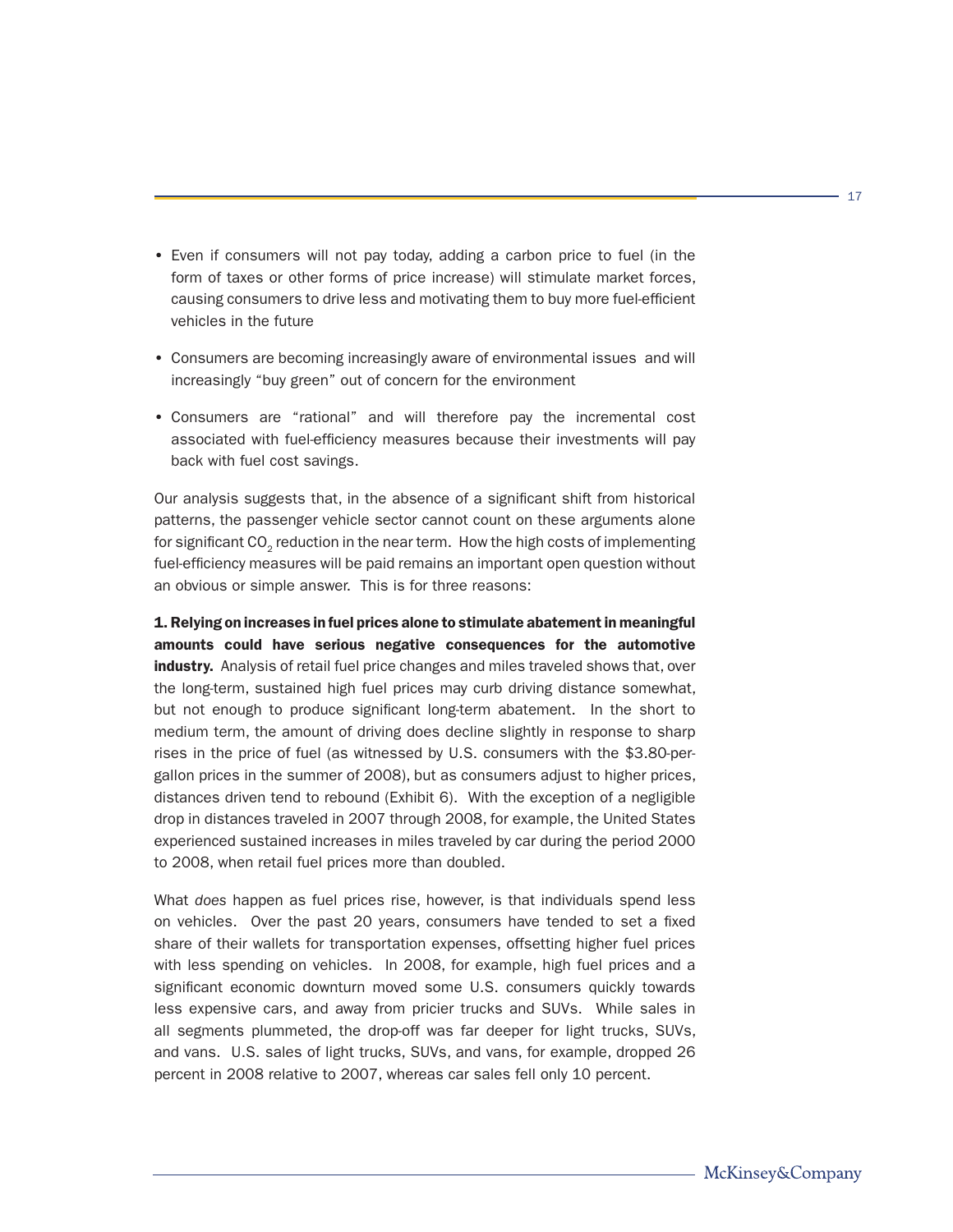- Even if consumers will not pay today, adding a carbon price to fuel (in the form of taxes or other forms of price increase) will stimulate market forces, causing consumers to drive less and motivating them to buy more fuel-efficient vehicles in the future
- Consumers are becoming increasingly aware of environmental issues and will increasingly "buy green" out of concern for the environment
- Consumers are "rational" and will therefore pay the incremental cost associated with fuel-efficiency measures because their investments will pay back with fuel cost savings.

Our analysis suggests that, in the absence of a significant shift from historical patterns, the passenger vehicle sector cannot count on these arguments alone for significant CO<sub>2</sub> reduction in the near term. How the high costs of implementing fuel-efficiency measures will be paid remains an important open question without an obvious or simple answer. This is for three reasons:

1. Relying on increases in fuel prices alone to stimulate abatement in meaningful amounts could have serious negative consequences for the automotive industry. Analysis of retail fuel price changes and miles traveled shows that, over the long-term, sustained high fuel prices may curb driving distance somewhat, but not enough to produce significant long-term abatement. In the short to medium term, the amount of driving does decline slightly in response to sharp rises in the price of fuel (as witnessed by U.S. consumers with the \$3.80-pergallon prices in the summer of 2008), but as consumers adjust to higher prices, distances driven tend to rebound (Exhibit 6). With the exception of a negligible drop in distances traveled in 2007 through 2008, for example, the United States experienced sustained increases in miles traveled by car during the period 2000 to 2008, when retail fuel prices more than doubled.

What *does* happen as fuel prices rise, however, is that individuals spend less on vehicles. Over the past 20 years, consumers have tended to set a fixed share of their wallets for transportation expenses, offsetting higher fuel prices with less spending on vehicles. In 2008, for example, high fuel prices and a significant economic downturn moved some U.S. consumers quickly towards less expensive cars, and away from pricier trucks and SUVs. While sales in all segments plummeted, the drop-off was far deeper for light trucks, SUVs, and vans. U.S. sales of light trucks, SUVs, and vans, for example, dropped 26 percent in 2008 relative to 2007, whereas car sales fell only 10 percent.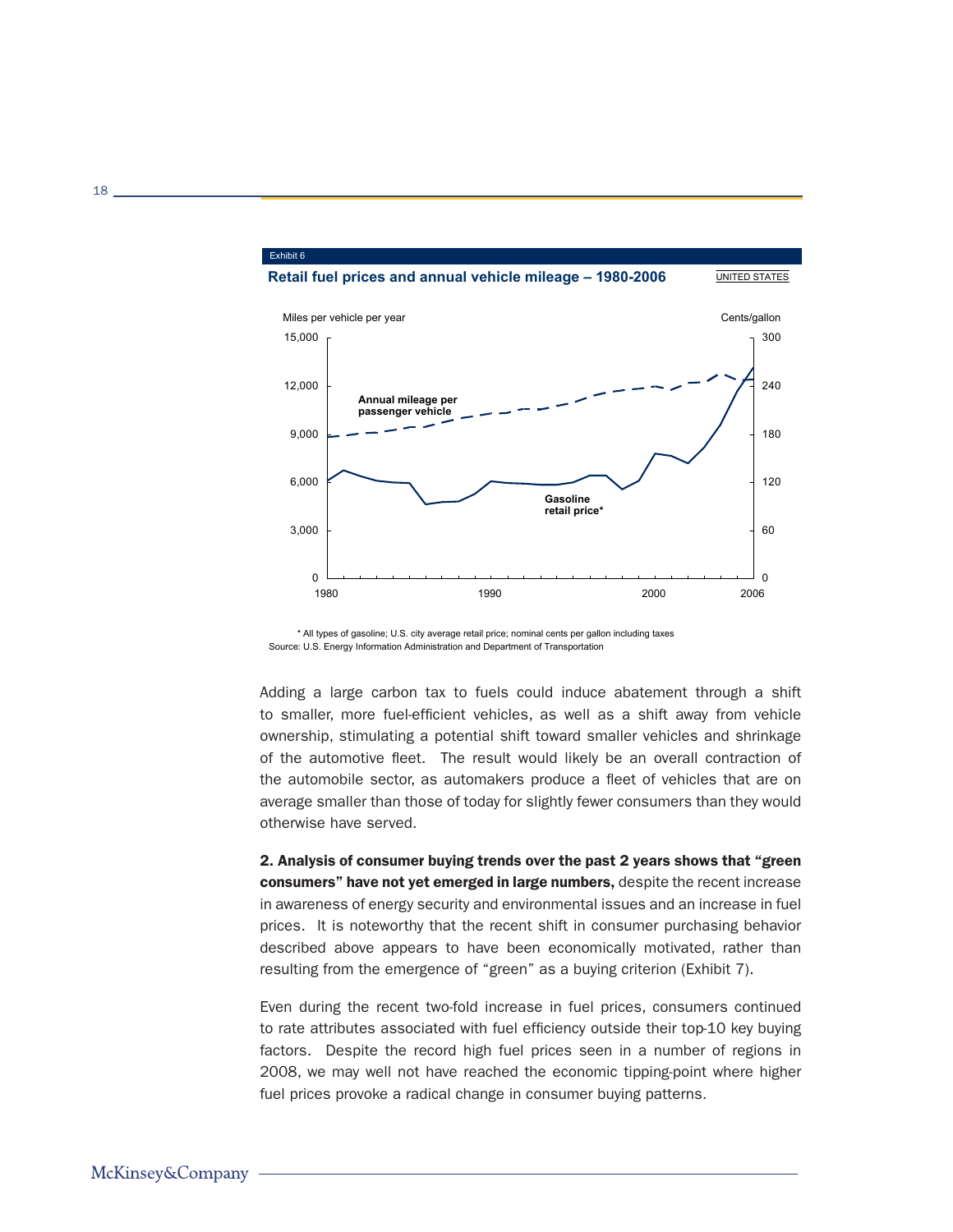

\* All types of gasoline; U.S. city average retail price; nominal cents per gallon including taxes Source: U.S. Energy Information Administration and Department of Transportation

Adding a large carbon tax to fuels could induce abatement through a shift to smaller, more fuel-efficient vehicles, as well as a shift away from vehicle ownership, stimulating a potential shift toward smaller vehicles and shrinkage of the automotive fleet. The result would likely be an overall contraction of the automobile sector, as automakers produce a fleet of vehicles that are on average smaller than those of today for slightly fewer consumers than they would otherwise have served.

2. Analysis of consumer buying trends over the past 2 years shows that "green consumers" have not yet emerged in large numbers, despite the recent increase in awareness of energy security and environmental issues and an increase in fuel prices. It is noteworthy that the recent shift in consumer purchasing behavior described above appears to have been economically motivated, rather than resulting from the emergence of "green" as a buying criterion (Exhibit 7).

Even during the recent two-fold increase in fuel prices, consumers continued to rate attributes associated with fuel efficiency outside their top-10 key buying factors. Despite the record high fuel prices seen in a number of regions in 2008, we may well not have reached the economic tipping-point where higher fuel prices provoke a radical change in consumer buying patterns.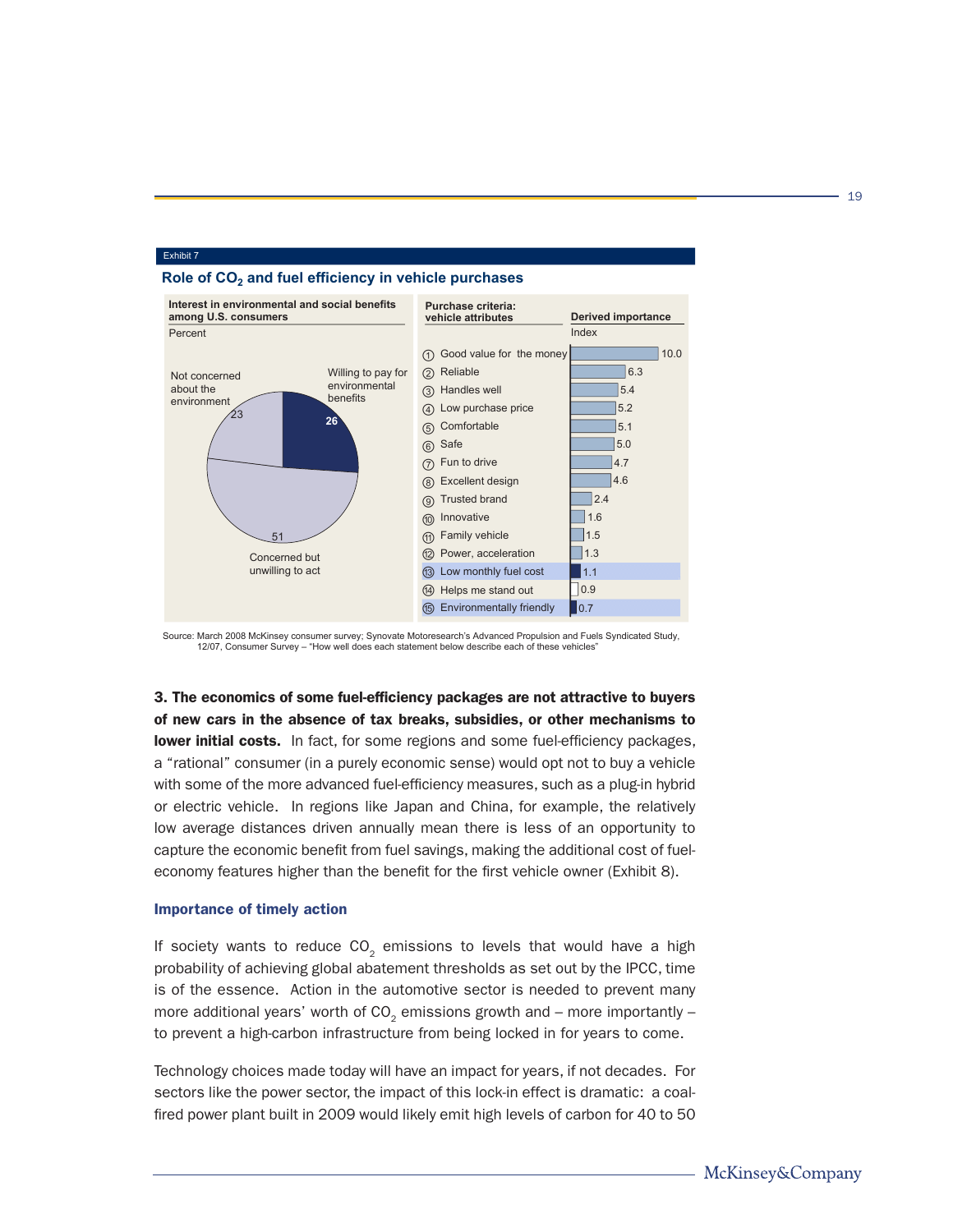

### **Role of CO2 and fuel efficiency in vehicle purchases**

Exhibit 7



3. The economics of some fuel-efficiency packages are not attractive to buyers of new cars in the absence of tax breaks, subsidies, or other mechanisms to **lower initial costs.** In fact, for some regions and some fuel-efficiency packages, a "rational" consumer (in a purely economic sense) would opt not to buy a vehicle with some of the more advanced fuel-efficiency measures, such as a plug-in hybrid or electric vehicle. In regions like Japan and China, for example, the relatively low average distances driven annually mean there is less of an opportunity to capture the economic benefit from fuel savings, making the additional cost of fueleconomy features higher than the benefit for the first vehicle owner (Exhibit 8).

#### Importance of timely action

If society wants to reduce  $CO<sub>2</sub>$  emissions to levels that would have a high probability of achieving global abatement thresholds as set out by the IPCC, time is of the essence. Action in the automotive sector is needed to prevent many more additional years' worth of  $CO<sub>2</sub>$  emissions growth and – more importantly – to prevent a high-carbon infrastructure from being locked in for years to come.

Technology choices made today will have an impact for years, if not decades. For sectors like the power sector, the impact of this lock-in effect is dramatic: a coalfired power plant built in 2009 would likely emit high levels of carbon for 40 to 50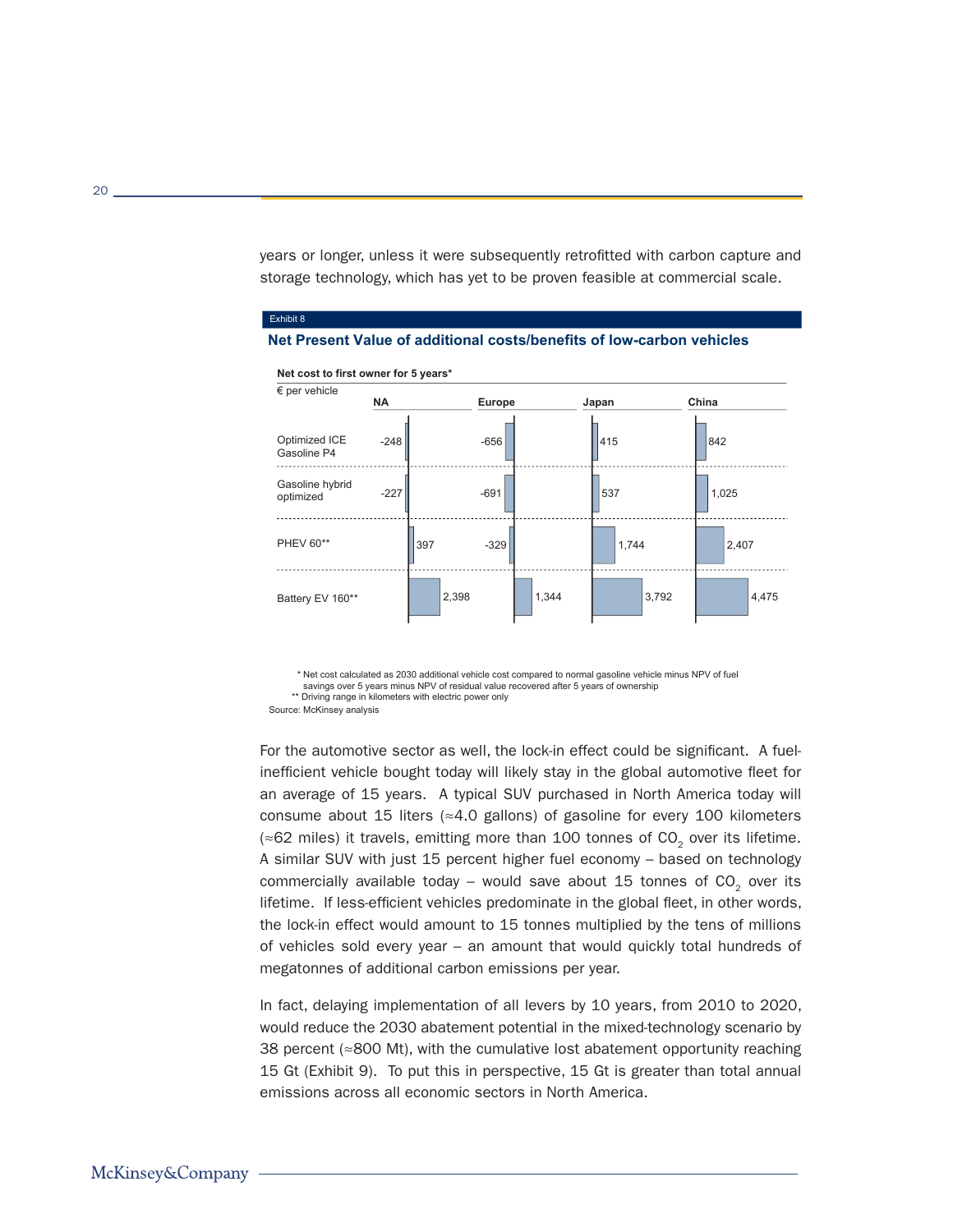years or longer, unless it were subsequently retrofitted with carbon capture and storage technology, which has yet to be proven feasible at commercial scale.



**Net Present Value of additional costs/benefits of low-carbon vehicles**

\* Net cost calculated as 2030 additional vehicle cost compared to normal gasoline vehicle minus NPV of fuel savings over 5 years minus NPV of residual value recovered after 5 years of ownership \*\* Driving range in kilometers with electric power only

Exhibit 8

For the automotive sector as well, the lock-in effect could be significant. A fuelinefficient vehicle bought today will likely stay in the global automotive fleet for an average of 15 years. A typical SUV purchased in North America today will consume about 15 liters (≈4.0 gallons) of gasoline for every 100 kilometers  $\approx$  62 miles) it travels, emitting more than 100 tonnes of CO<sub>2</sub> over its lifetime. A similar SUV with just 15 percent higher fuel economy – based on technology commercially available today – would save about 15 tonnes of  $CO<sub>2</sub>$  over its lifetime. If less-efficient vehicles predominate in the global fleet, in other words, the lock-in effect would amount to 15 tonnes multiplied by the tens of millions of vehicles sold every year – an amount that would quickly total hundreds of megatonnes of additional carbon emissions per year.

In fact, delaying implementation of all levers by 10 years, from 2010 to 2020, would reduce the 2030 abatement potential in the mixed-technology scenario by 38 percent (≈800 Mt), with the cumulative lost abatement opportunity reaching 15 Gt (Exhibit 9). To put this in perspective, 15 Gt is greater than total annual emissions across all economic sectors in North America.

Source: McKinsey analysis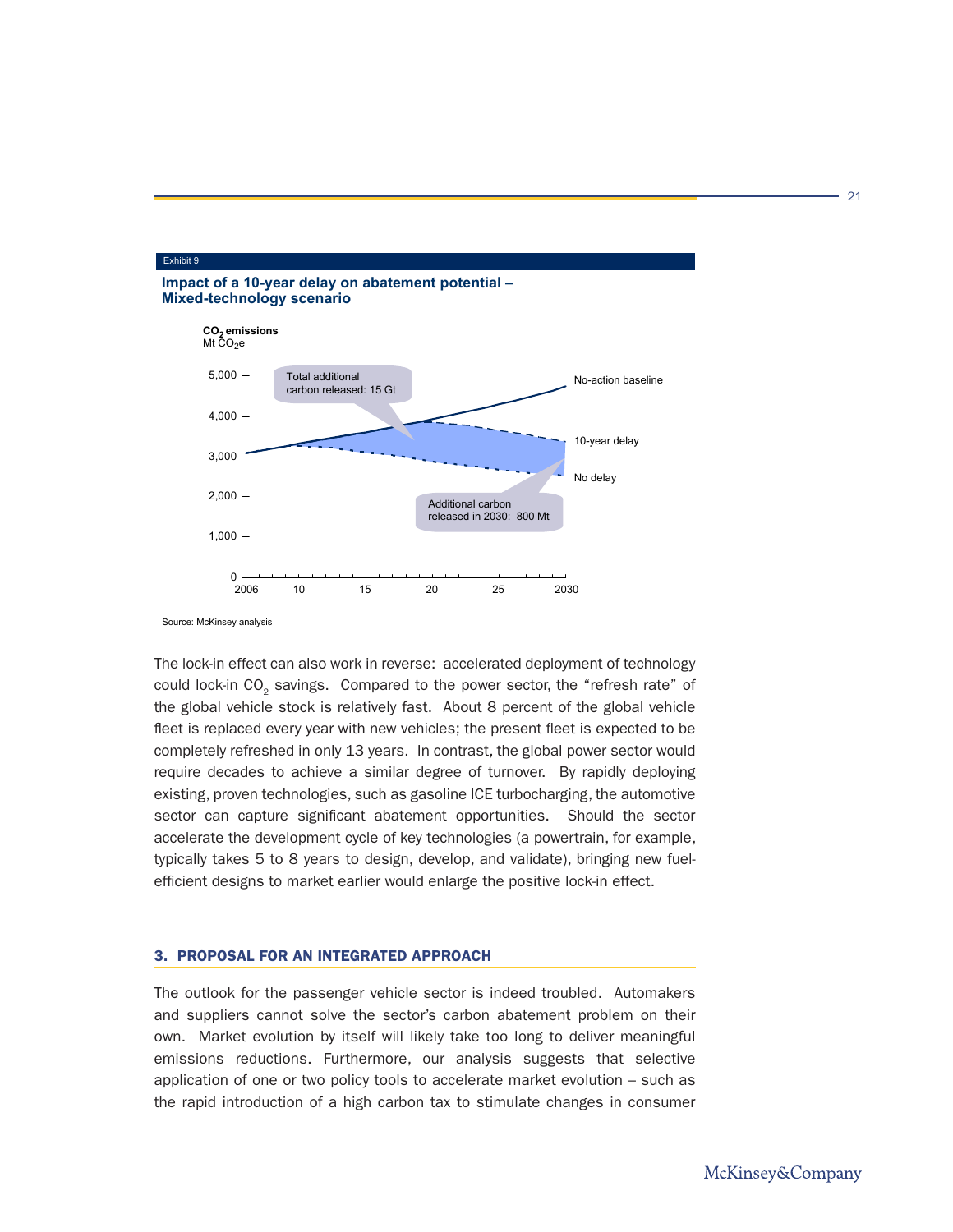



Source: McKinsey analysis

Exhibit 9

The lock-in effect can also work in reverse: accelerated deployment of technology could lock-in CO<sub>2</sub> savings. Compared to the power sector, the "refresh rate" of the global vehicle stock is relatively fast. About 8 percent of the global vehicle fleet is replaced every year with new vehicles; the present fleet is expected to be completely refreshed in only 13 years. In contrast, the global power sector would require decades to achieve a similar degree of turnover. By rapidly deploying existing, proven technologies, such as gasoline ICE turbocharging, the automotive sector can capture significant abatement opportunities. Should the sector accelerate the development cycle of key technologies (a powertrain, for example, typically takes 5 to 8 years to design, develop, and validate), bringing new fuelefficient designs to market earlier would enlarge the positive lock-in effect.

#### 3. PROPOSAL FOR AN INTEGRATED APPROACH

The outlook for the passenger vehicle sector is indeed troubled. Automakers and suppliers cannot solve the sector's carbon abatement problem on their own. Market evolution by itself will likely take too long to deliver meaningful emissions reductions. Furthermore, our analysis suggests that selective application of one or two policy tools to accelerate market evolution – such as the rapid introduction of a high carbon tax to stimulate changes in consumer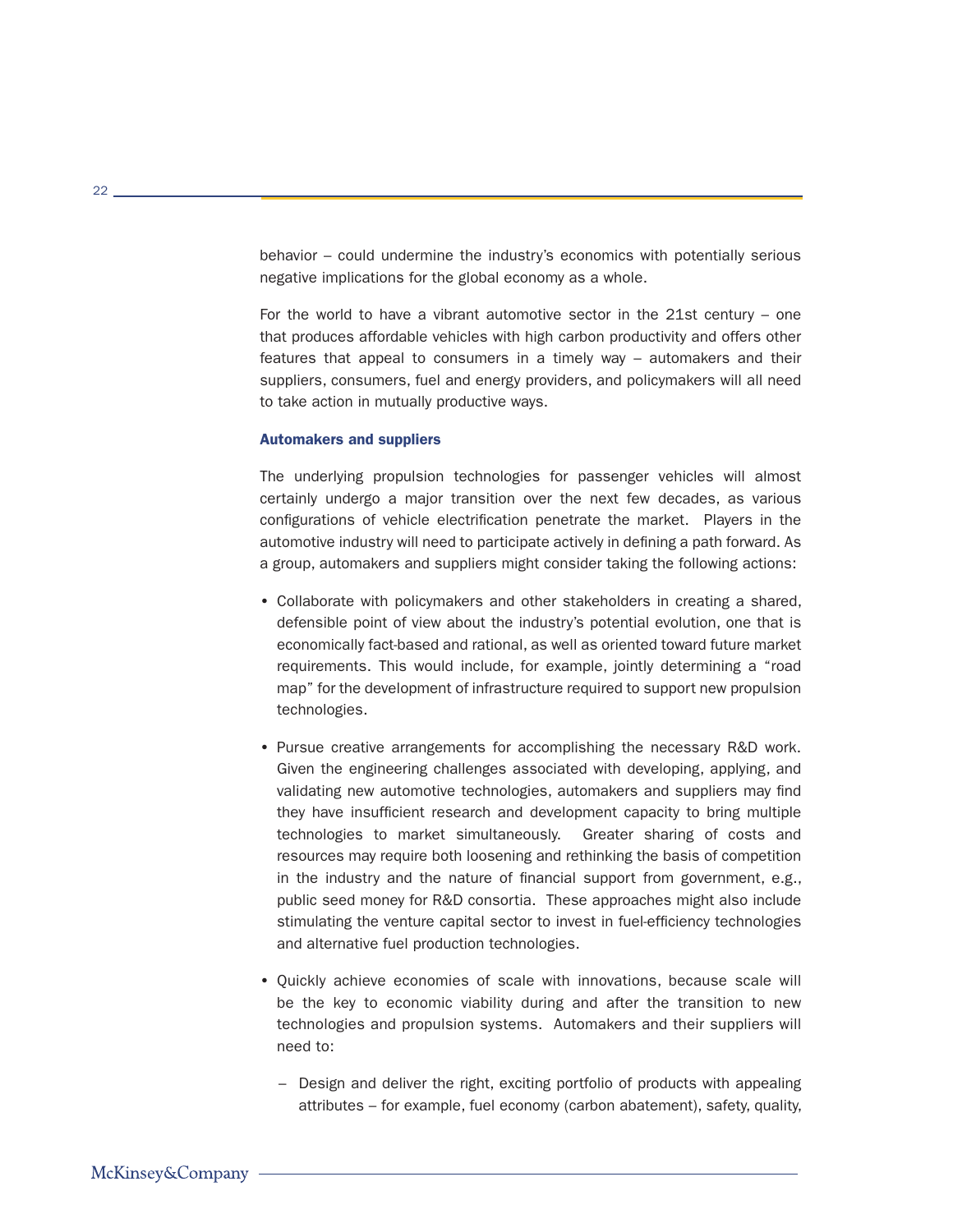behavior – could undermine the industry's economics with potentially serious negative implications for the global economy as a whole.

For the world to have a vibrant automotive sector in the 21st century – one that produces affordable vehicles with high carbon productivity and offers other features that appeal to consumers in a timely way – automakers and their suppliers, consumers, fuel and energy providers, and policymakers will all need to take action in mutually productive ways.

#### Automakers and suppliers

The underlying propulsion technologies for passenger vehicles will almost certainly undergo a major transition over the next few decades, as various configurations of vehicle electrification penetrate the market. Players in the automotive industry will need to participate actively in defining a path forward. As a group, automakers and suppliers might consider taking the following actions:

- Collaborate with policymakers and other stakeholders in creating a shared, defensible point of view about the industry's potential evolution, one that is economically fact-based and rational, as well as oriented toward future market requirements. This would include, for example, jointly determining a "road map" for the development of infrastructure required to support new propulsion technologies.
- Pursue creative arrangements for accomplishing the necessary R&D work. Given the engineering challenges associated with developing, applying, and validating new automotive technologies, automakers and suppliers may find they have insufficient research and development capacity to bring multiple technologies to market simultaneously. Greater sharing of costs and resources may require both loosening and rethinking the basis of competition in the industry and the nature of financial support from government, e.g., public seed money for R&D consortia. These approaches might also include stimulating the venture capital sector to invest in fuel-efficiency technologies and alternative fuel production technologies.
- Quickly achieve economies of scale with innovations, because scale will be the key to economic viability during and after the transition to new technologies and propulsion systems. Automakers and their suppliers will need to:
	- Design and deliver the right, exciting portfolio of products with appealing attributes – for example, fuel economy (carbon abatement), safety, quality,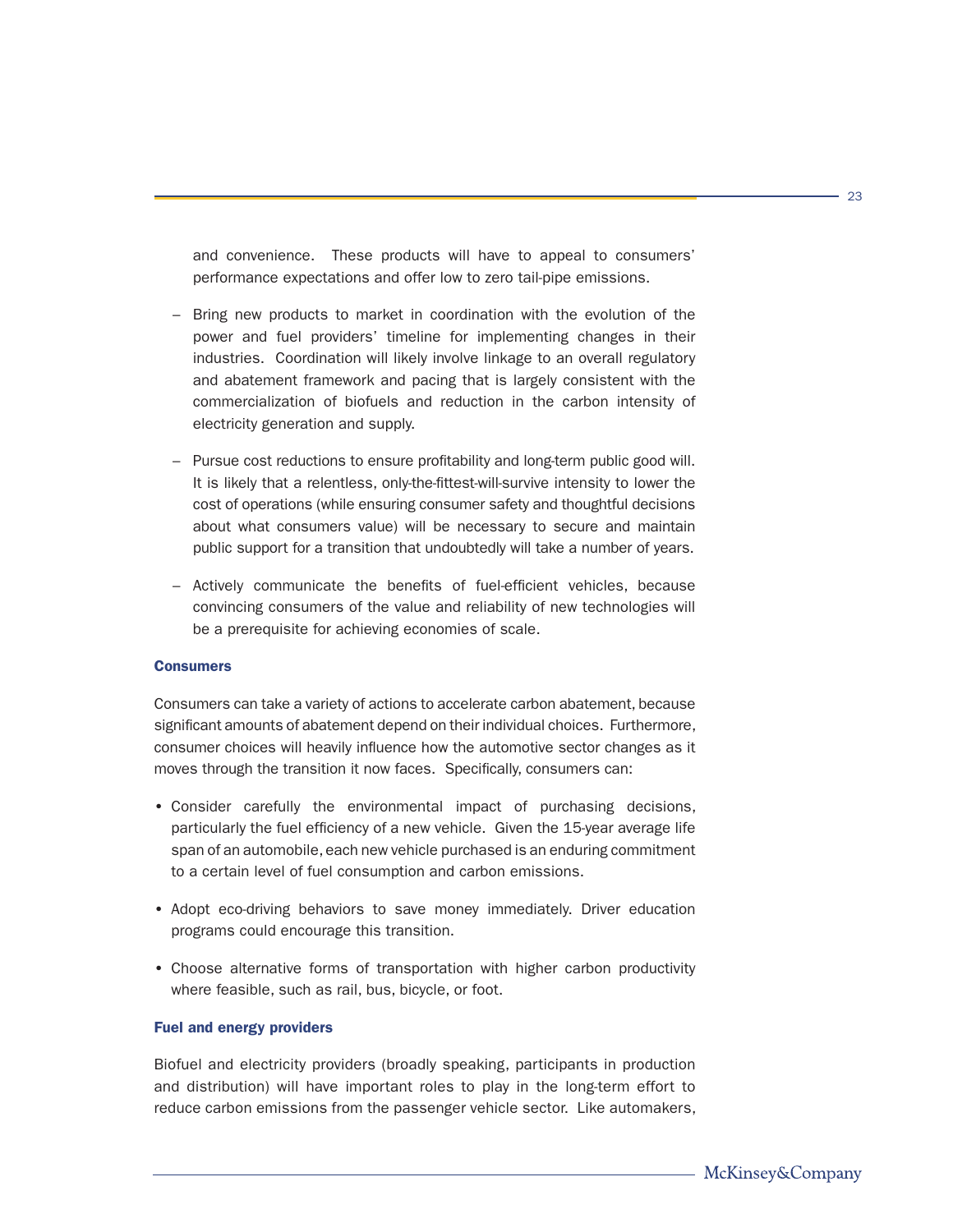and convenience. These products will have to appeal to consumers' performance expectations and offer low to zero tail-pipe emissions.

- Bring new products to market in coordination with the evolution of the power and fuel providers' timeline for implementing changes in their industries. Coordination will likely involve linkage to an overall regulatory and abatement framework and pacing that is largely consistent with the commercialization of biofuels and reduction in the carbon intensity of electricity generation and supply.
- Pursue cost reductions to ensure profitability and long-term public good will. It is likely that a relentless, only-the-fittest-will-survive intensity to lower the cost of operations (while ensuring consumer safety and thoughtful decisions about what consumers value) will be necessary to secure and maintain public support for a transition that undoubtedly will take a number of years.
- Actively communicate the benefits of fuel-efficient vehicles, because convincing consumers of the value and reliability of new technologies will be a prerequisite for achieving economies of scale.

## **Consumers**

Consumers can take a variety of actions to accelerate carbon abatement, because significant amounts of abatement depend on their individual choices. Furthermore, consumer choices will heavily influence how the automotive sector changes as it moves through the transition it now faces. Specifically, consumers can:

- Consider carefully the environmental impact of purchasing decisions, particularly the fuel efficiency of a new vehicle. Given the 15-year average life span of an automobile, each new vehicle purchased is an enduring commitment to a certain level of fuel consumption and carbon emissions.
- Adopt eco-driving behaviors to save money immediately. Driver education programs could encourage this transition.
- Choose alternative forms of transportation with higher carbon productivity where feasible, such as rail, bus, bicycle, or foot.

## Fuel and energy providers

Biofuel and electricity providers (broadly speaking, participants in production and distribution) will have important roles to play in the long-term effort to reduce carbon emissions from the passenger vehicle sector. Like automakers,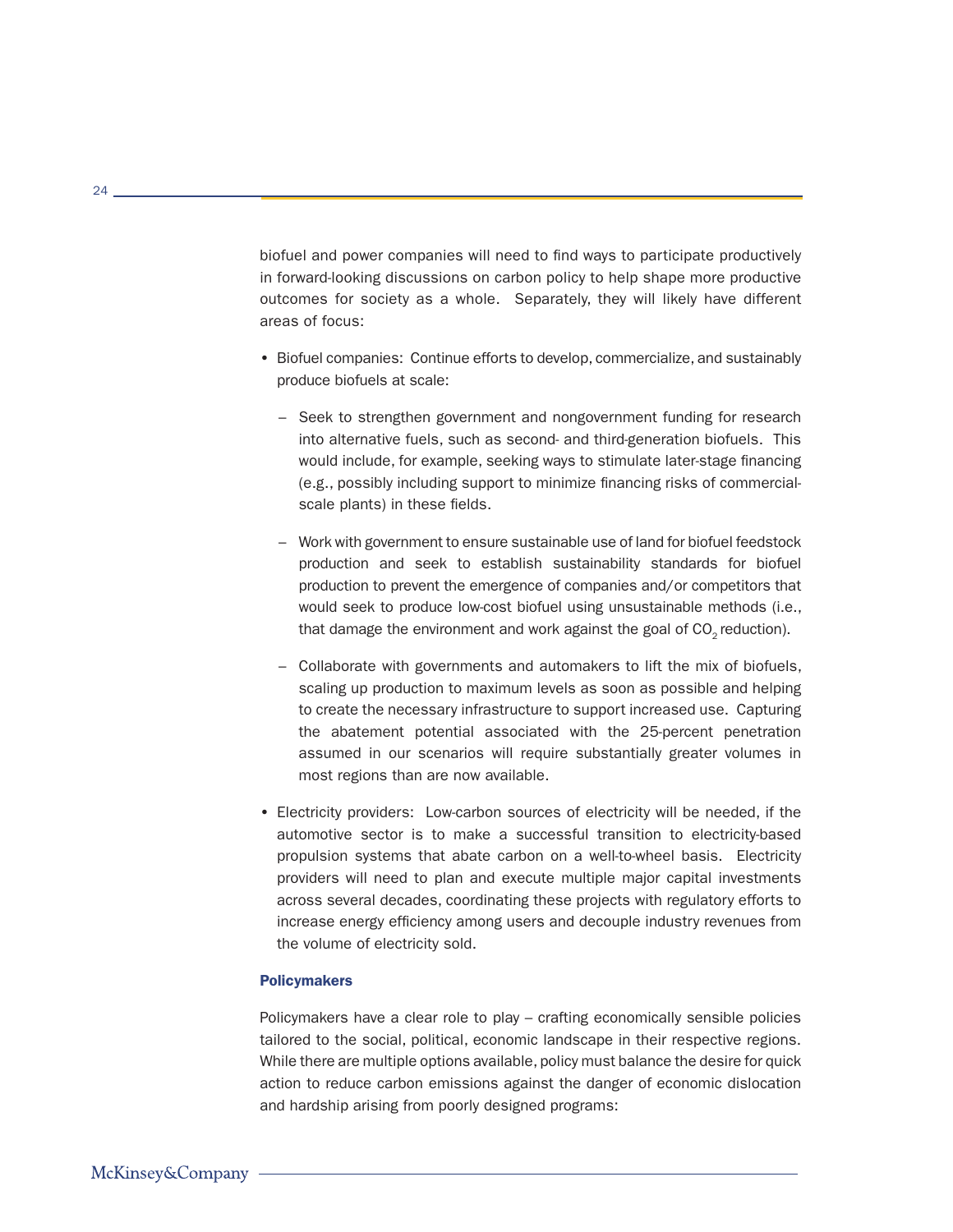biofuel and power companies will need to find ways to participate productively in forward-looking discussions on carbon policy to help shape more productive outcomes for society as a whole. Separately, they will likely have different areas of focus:

- Biofuel companies: Continue efforts to develop, commercialize, and sustainably produce biofuels at scale:
	- Seek to strengthen government and nongovernment funding for research into alternative fuels, such as second- and third-generation biofuels. This would include, for example, seeking ways to stimulate later-stage financing (e.g., possibly including support to minimize financing risks of commercialscale plants) in these fields.
	- Work with government to ensure sustainable use of land for biofuel feedstock production and seek to establish sustainability standards for biofuel production to prevent the emergence of companies and/or competitors that would seek to produce low-cost biofuel using unsustainable methods (i.e., that damage the environment and work against the goal of  $CO<sub>2</sub>$  reduction).
	- Collaborate with governments and automakers to lift the mix of biofuels, scaling up production to maximum levels as soon as possible and helping to create the necessary infrastructure to support increased use. Capturing the abatement potential associated with the 25-percent penetration assumed in our scenarios will require substantially greater volumes in most regions than are now available.
- Electricity providers: Low-carbon sources of electricity will be needed, if the automotive sector is to make a successful transition to electricity-based propulsion systems that abate carbon on a well-to-wheel basis. Electricity providers will need to plan and execute multiple major capital investments across several decades, coordinating these projects with regulatory efforts to increase energy efficiency among users and decouple industry revenues from the volume of electricity sold.

#### **Policymakers**

Policymakers have a clear role to play – crafting economically sensible policies tailored to the social, political, economic landscape in their respective regions. While there are multiple options available, policy must balance the desire for quick action to reduce carbon emissions against the danger of economic dislocation and hardship arising from poorly designed programs: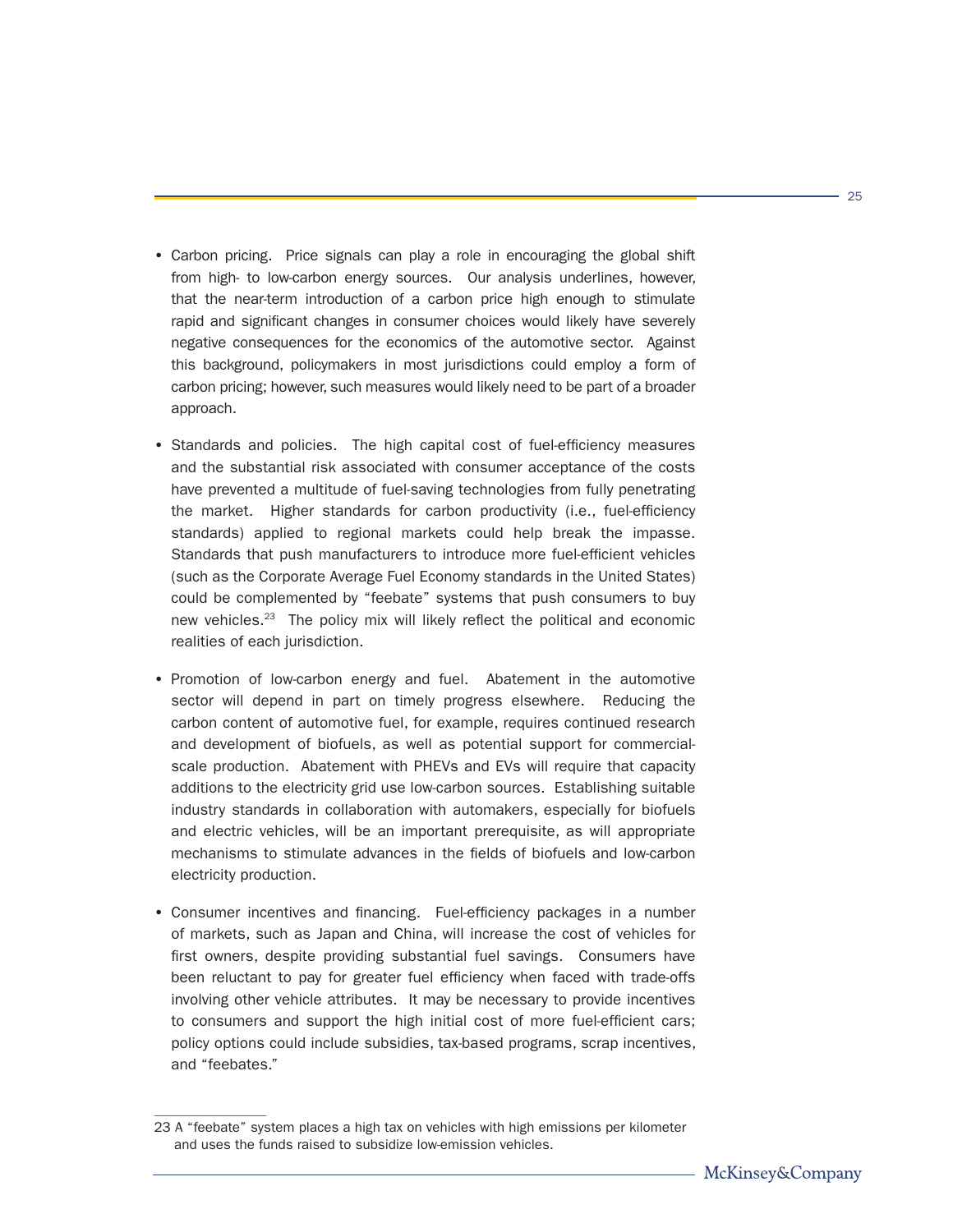- Carbon pricing. Price signals can play a role in encouraging the global shift from high- to low-carbon energy sources. Our analysis underlines, however, that the near-term introduction of a carbon price high enough to stimulate rapid and significant changes in consumer choices would likely have severely negative consequences for the economics of the automotive sector. Against this background, policymakers in most jurisdictions could employ a form of carbon pricing; however, such measures would likely need to be part of a broader approach.
- Standards and policies. The high capital cost of fuel-efficiency measures and the substantial risk associated with consumer acceptance of the costs have prevented a multitude of fuel-saving technologies from fully penetrating the market. Higher standards for carbon productivity (i.e., fuel-efficiency standards) applied to regional markets could help break the impasse. Standards that push manufacturers to introduce more fuel-efficient vehicles (such as the Corporate Average Fuel Economy standards in the United States) could be complemented by "feebate" systems that push consumers to buy new vehicles.23 The policy mix will likely reflect the political and economic realities of each jurisdiction.
- Promotion of low-carbon energy and fuel. Abatement in the automotive sector will depend in part on timely progress elsewhere. Reducing the carbon content of automotive fuel, for example, requires continued research and development of biofuels, as well as potential support for commercialscale production. Abatement with PHEVs and EVs will require that capacity additions to the electricity grid use low-carbon sources. Establishing suitable industry standards in collaboration with automakers, especially for biofuels and electric vehicles, will be an important prerequisite, as will appropriate mechanisms to stimulate advances in the fields of biofuels and low-carbon electricity production.
- Consumer incentives and financing. Fuel-efficiency packages in a number of markets, such as Japan and China, will increase the cost of vehicles for first owners, despite providing substantial fuel savings. Consumers have been reluctant to pay for greater fuel efficiency when faced with trade-offs involving other vehicle attributes. It may be necessary to provide incentives to consumers and support the high initial cost of more fuel-efficient cars; policy options could include subsidies, tax-based programs, scrap incentives, and "feebates."

<sup>23</sup> A "feebate" system places a high tax on vehicles with high emissions per kilometer and uses the funds raised to subsidize low-emission vehicles.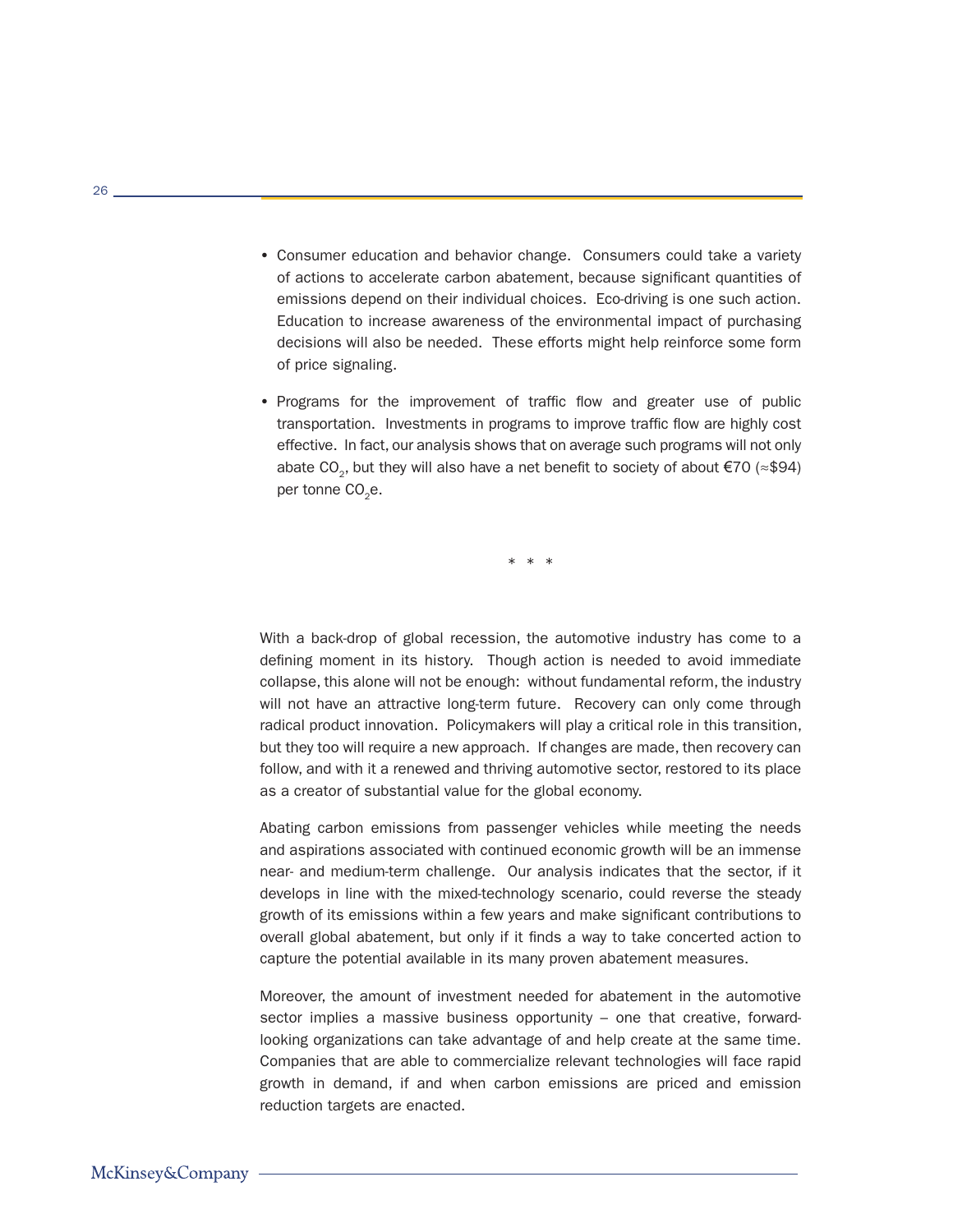- Consumer education and behavior change. Consumers could take a variety of actions to accelerate carbon abatement, because significant quantities of emissions depend on their individual choices. Eco-driving is one such action. Education to increase awareness of the environmental impact of purchasing decisions will also be needed. These efforts might help reinforce some form of price signaling.
- Programs for the improvement of traffic flow and greater use of public transportation. Investments in programs to improve traffic flow are highly cost effective. In fact, our analysis shows that on average such programs will not only abate CO<sub>2</sub>, but they will also have a net benefit to society of about  $\epsilon$ 70 (≈\$94) per tonne CO<sub>2</sub>e.

\* \* \*

With a back-drop of global recession, the automotive industry has come to a defining moment in its history. Though action is needed to avoid immediate collapse, this alone will not be enough: without fundamental reform, the industry will not have an attractive long-term future. Recovery can only come through radical product innovation. Policymakers will play a critical role in this transition, but they too will require a new approach. If changes are made, then recovery can follow, and with it a renewed and thriving automotive sector, restored to its place as a creator of substantial value for the global economy.

Abating carbon emissions from passenger vehicles while meeting the needs and aspirations associated with continued economic growth will be an immense near- and medium-term challenge. Our analysis indicates that the sector, if it develops in line with the mixed-technology scenario, could reverse the steady growth of its emissions within a few years and make significant contributions to overall global abatement, but only if it finds a way to take concerted action to capture the potential available in its many proven abatement measures.

Moreover, the amount of investment needed for abatement in the automotive sector implies a massive business opportunity – one that creative, forwardlooking organizations can take advantage of and help create at the same time. Companies that are able to commercialize relevant technologies will face rapid growth in demand, if and when carbon emissions are priced and emission reduction targets are enacted.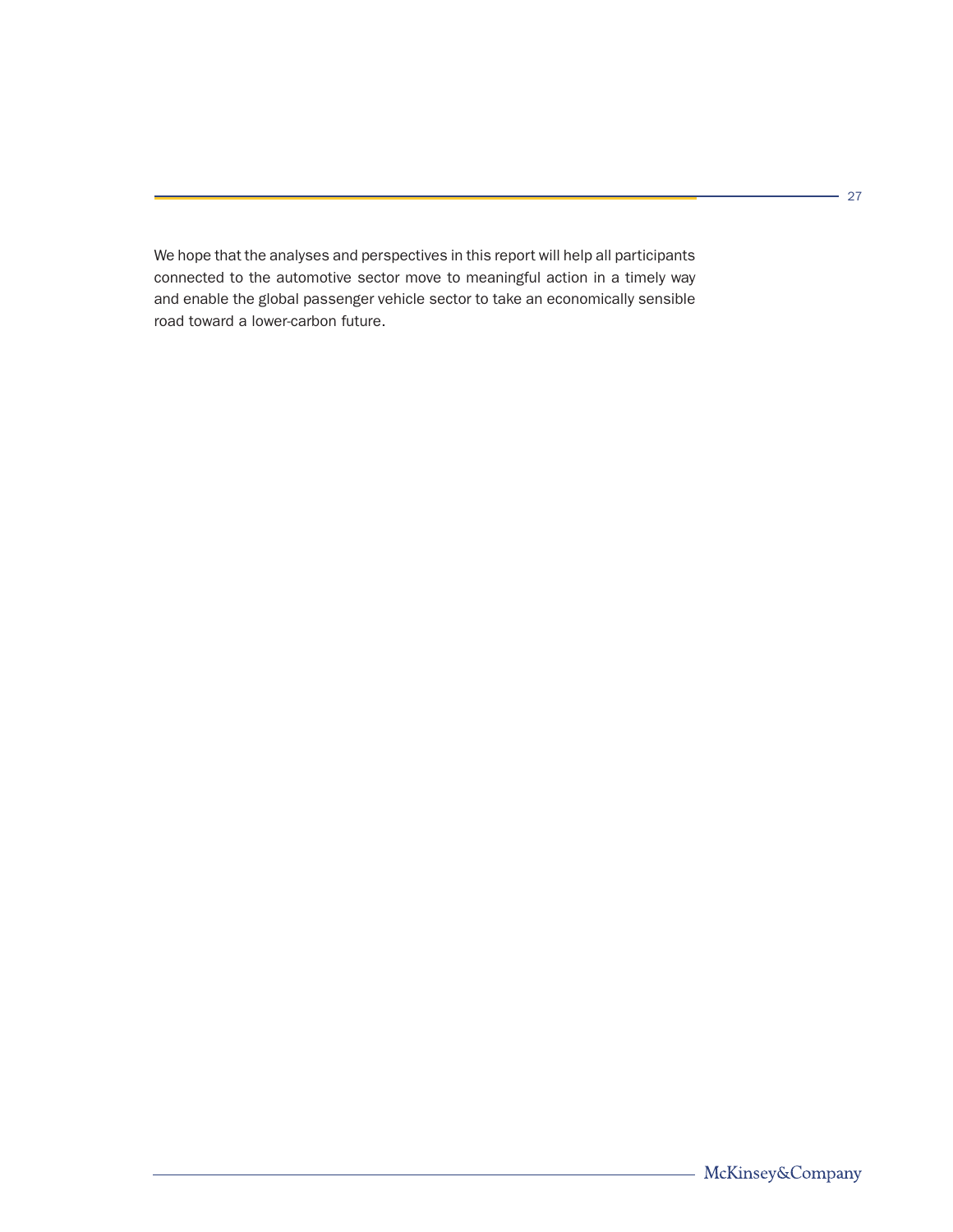We hope that the analyses and perspectives in this report will help all participants connected to the automotive sector move to meaningful action in a timely way and enable the global passenger vehicle sector to take an economically sensible road toward a lower-carbon future.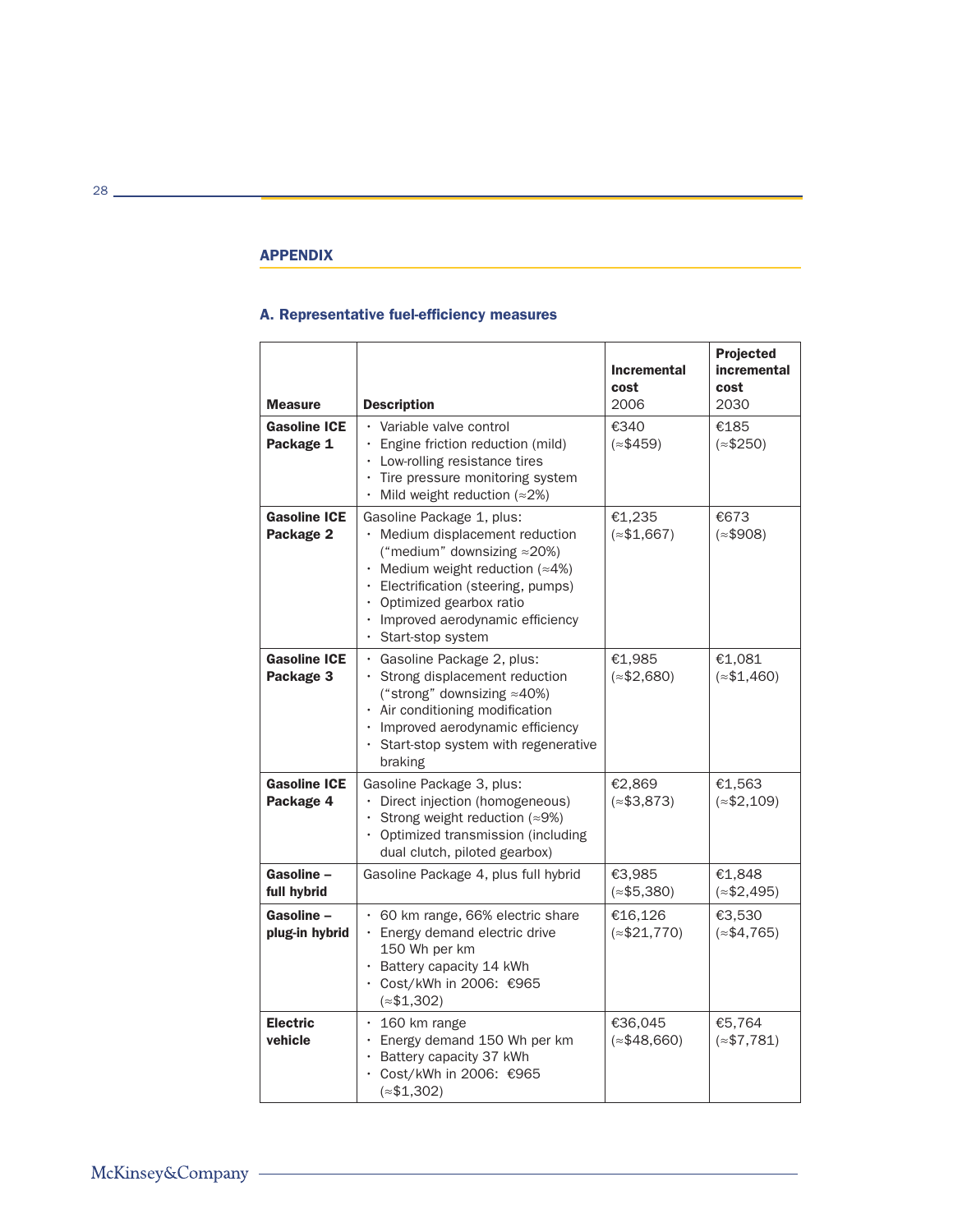## **APPENDIX**

## A. Representative fuel-efficiency measures

| <b>Measure</b>                      | <b>Description</b>                                                                                                                                                                                                                                                                                            | <b>Incremental</b><br>cost<br>2006 | Projected<br>incremental<br>cost<br>2030 |
|-------------------------------------|---------------------------------------------------------------------------------------------------------------------------------------------------------------------------------------------------------------------------------------------------------------------------------------------------------------|------------------------------------|------------------------------------------|
| <b>Gasoline ICE</b><br>Package 1    | • Variable valve control<br>· Engine friction reduction (mild)<br>Low-rolling resistance tires<br>Tire pressure monitoring system<br>$\ddot{\phantom{0}}$<br>Mild weight reduction ( $\approx$ 2%)                                                                                                            | €340<br>$(*$459)$                  | €185<br>$(*$250)$                        |
| <b>Gasoline ICE</b><br>Package 2    | Gasoline Package 1, plus:<br>· Medium displacement reduction<br>("medium" downsizing $\approx$ 20%)<br>• Medium weight reduction ( $\approx$ 4%)<br>Electrification (steering, pumps)<br>Optimized gearbox ratio<br>$\ddot{\phantom{0}}$<br>Improved aerodynamic efficiency<br>$\bullet$<br>Start-stop system | €1,235<br>$(*$1,667)$              | €673<br>$(*$908)$                        |
| <b>Gasoline ICE</b><br>Package 3    | · Gasoline Package 2, plus:<br>Strong displacement reduction<br>$\bullet$<br>("strong" downsizing $\approx$ 40%)<br>· Air conditioning modification<br>Improved aerodynamic efficiency<br>$\bullet$<br>Start-stop system with regenerative<br>$\bullet$<br>braking                                            | €1,985<br>$(*$2,680)$              | €1,081<br>$(*$1,460)$                    |
| <b>Gasoline ICE</b><br>Package 4    | Gasoline Package 3, plus:<br>Direct injection (homogeneous)<br>Strong weight reduction ( $\approx$ 9%)<br>• Optimized transmission (including<br>dual clutch, piloted gearbox)                                                                                                                                | €2.869<br>$(*$3,873)$              | €1,563<br>$(*$2,109)$                    |
| Gasoline -<br>full hybrid           | Gasoline Package 4, plus full hybrid                                                                                                                                                                                                                                                                          | €3.985<br>$(*$5,380)$              | €1,848<br>$(*$2,495)$                    |
| <b>Gasoline –</b><br>plug-in hybrid | • 60 km range, 66% electric share<br>· Energy demand electric drive<br>150 Wh per km<br>· Battery capacity 14 kWh<br>Cost/kWh in 2006: €965<br>$(*$1,302)$                                                                                                                                                    | €16,126<br>$(*$21,770)$            | €3,530<br>$(*$4,765)$                    |
| <b>Electric</b><br>vehicle          | $\cdot$ 160 km range<br>Energy demand 150 Wh per km<br>$\ddot{\phantom{0}}$<br>Battery capacity 37 kWh<br>Cost/kWh in 2006: €965<br>$(*$1,302)$                                                                                                                                                               | €36,045<br>$(*$48,660)$            | €5,764<br>$(*$7,781)$                    |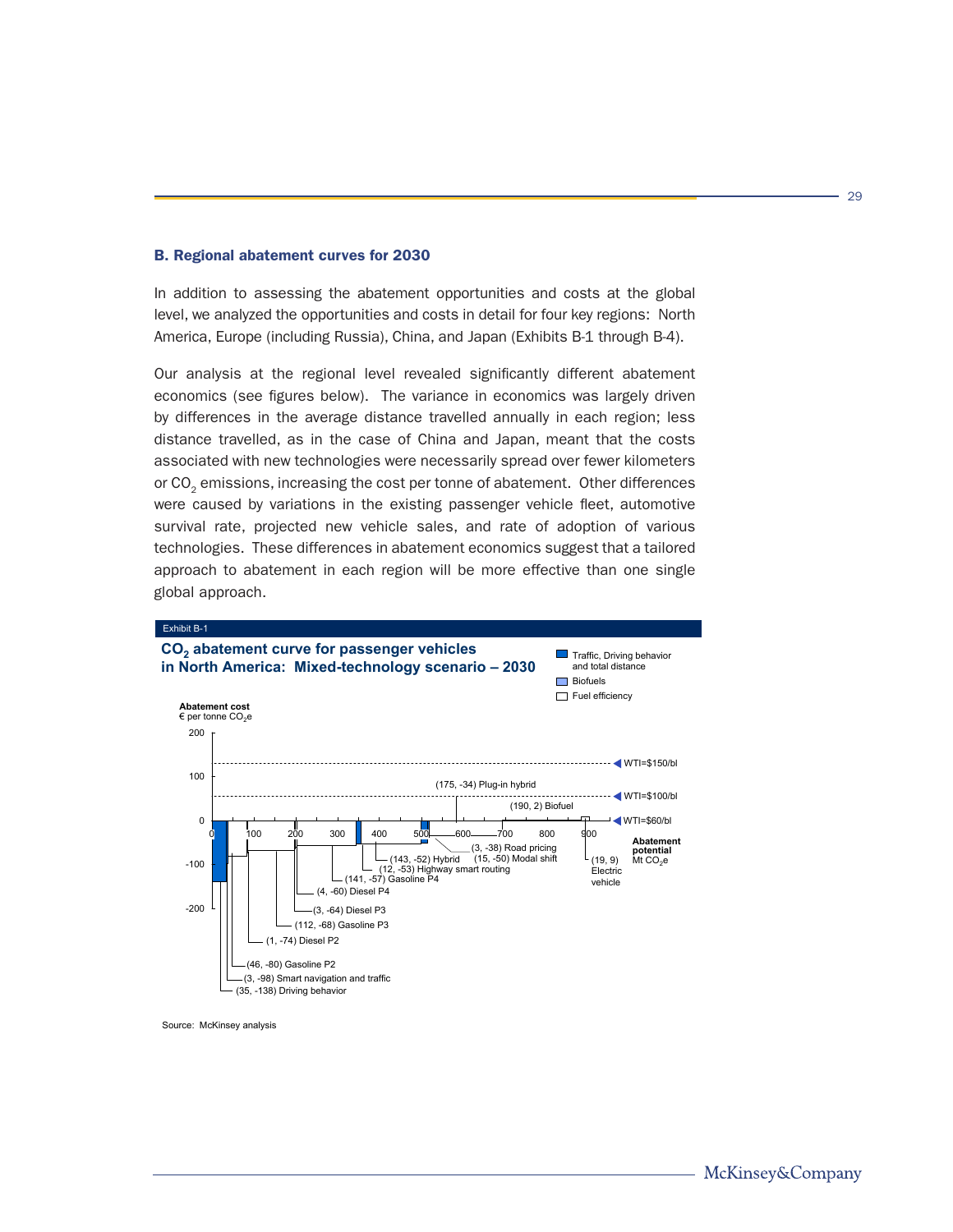## B. Regional abatement curves for 2030

In addition to assessing the abatement opportunities and costs at the global level, we analyzed the opportunities and costs in detail for four key regions: North America, Europe (including Russia), China, and Japan (Exhibits B-1 through B-4).

Our analysis at the regional level revealed significantly different abatement economics (see figures below). The variance in economics was largely driven by differences in the average distance travelled annually in each region; less distance travelled, as in the case of China and Japan, meant that the costs associated with new technologies were necessarily spread over fewer kilometers or CO<sub>2</sub> emissions, increasing the cost per tonne of abatement. Other differences were caused by variations in the existing passenger vehicle fleet, automotive survival rate, projected new vehicle sales, and rate of adoption of various technologies. These differences in abatement economics suggest that a tailored approach to abatement in each region will be more effective than one single global approach.



Source: McKinsey analysis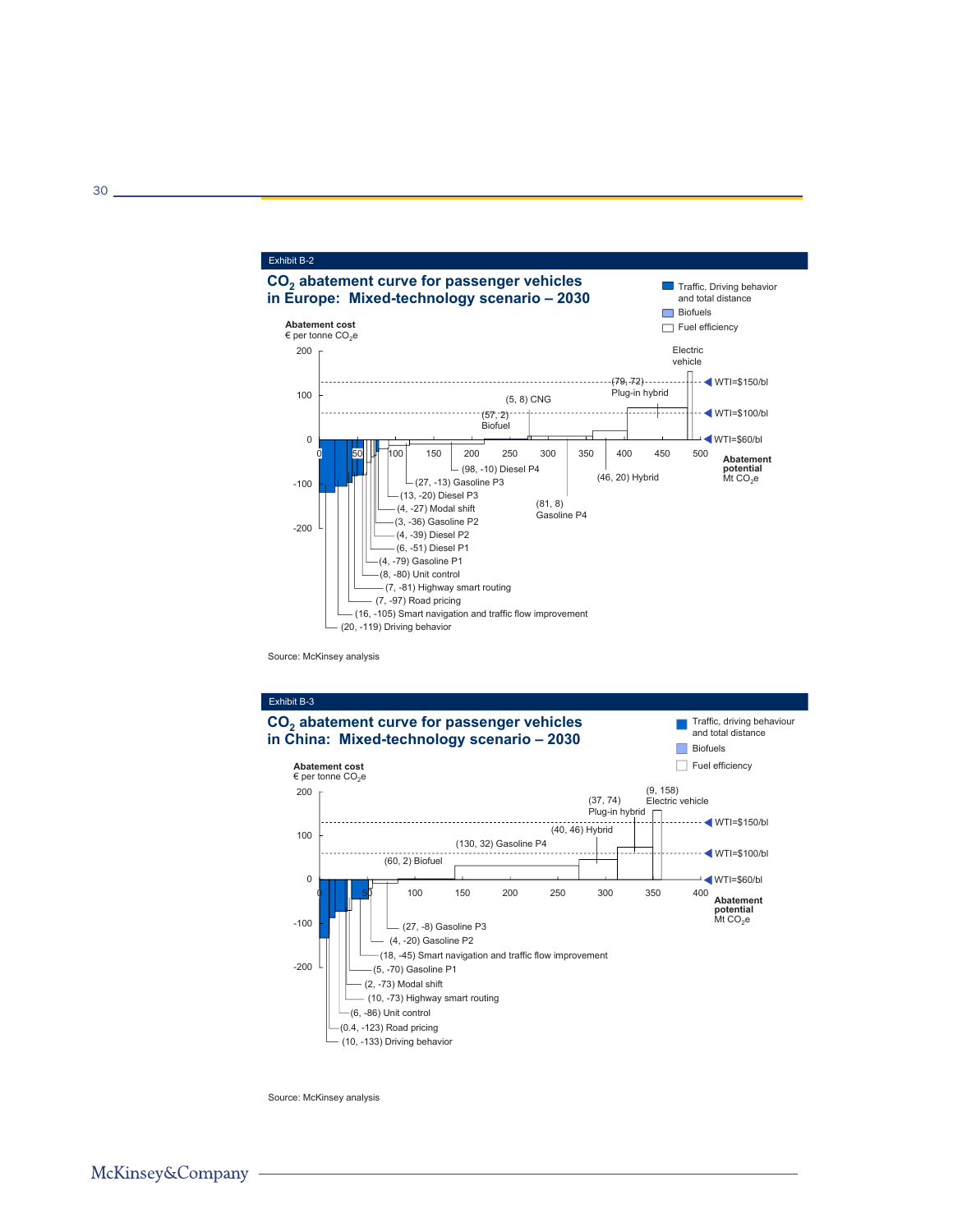

Source: McKinsey analysis



Source: McKinsey analysis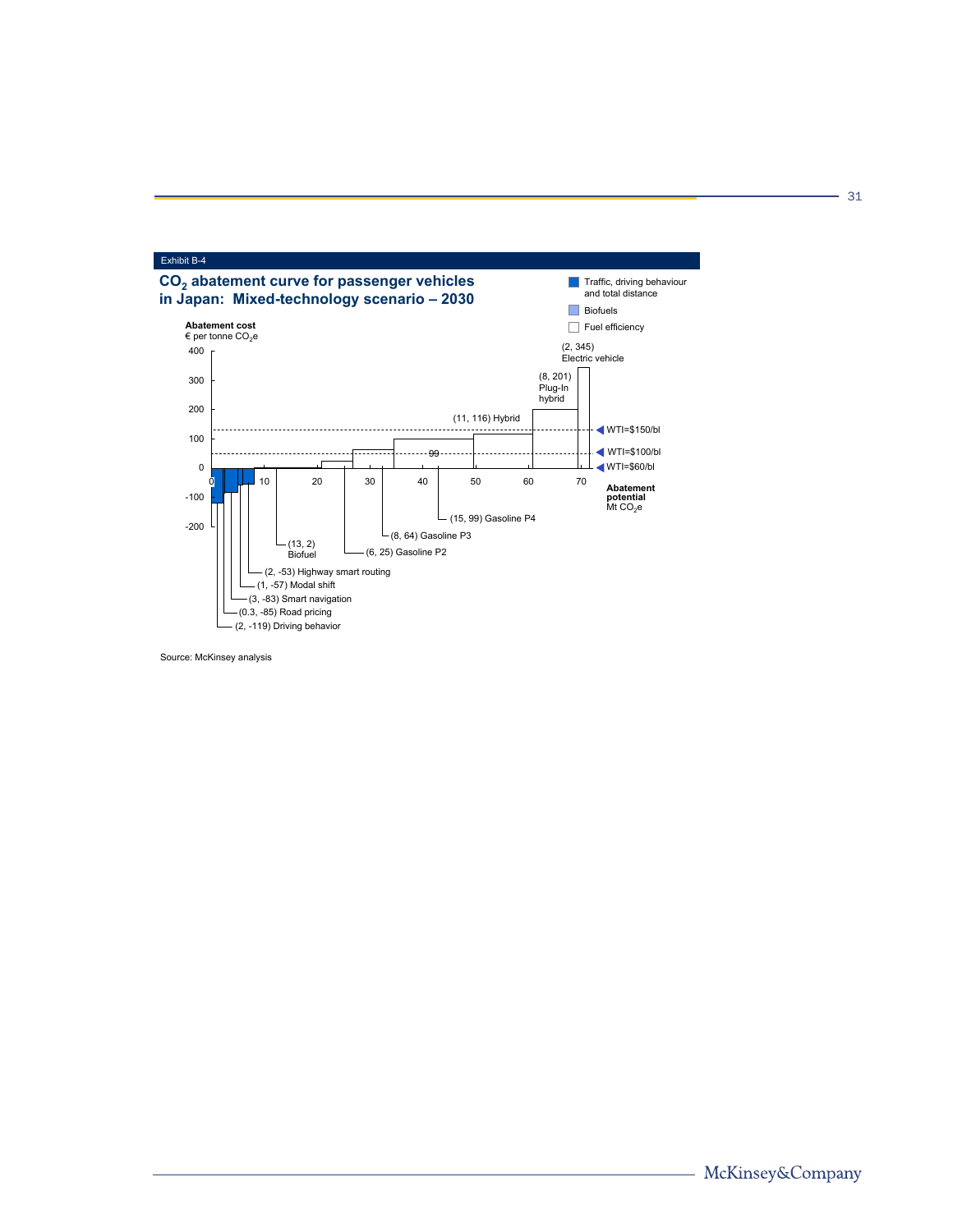

Source: McKinsey analysis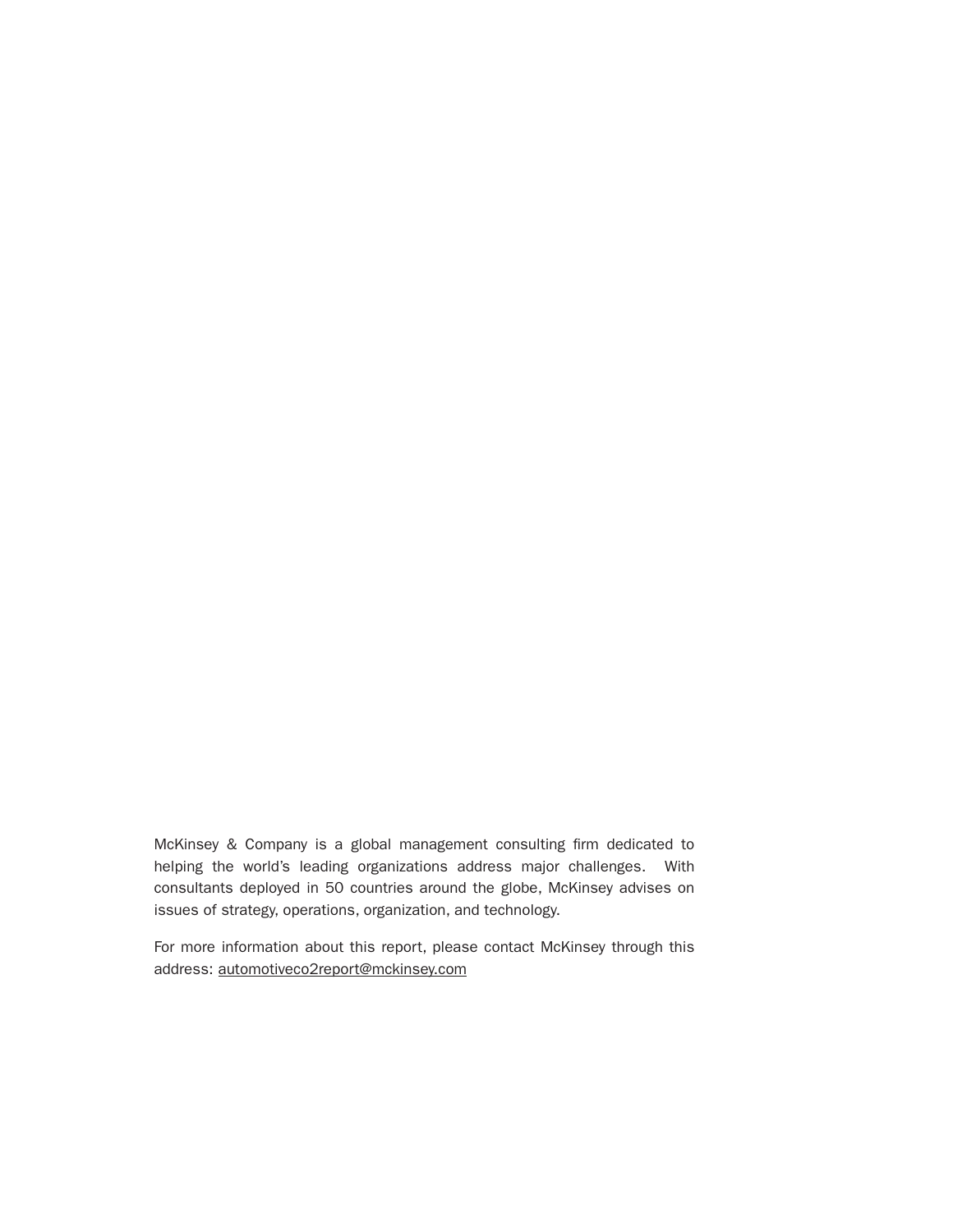McKinsey & Company is a global management consulting firm dedicated to helping the world's leading organizations address major challenges. With consultants deployed in 50 countries around the globe, McKinsey advises on issues of strategy, operations, organization, and technology.

For more information about this report, please contact McKinsey through this address: automotiveco2report@mckinsey.com